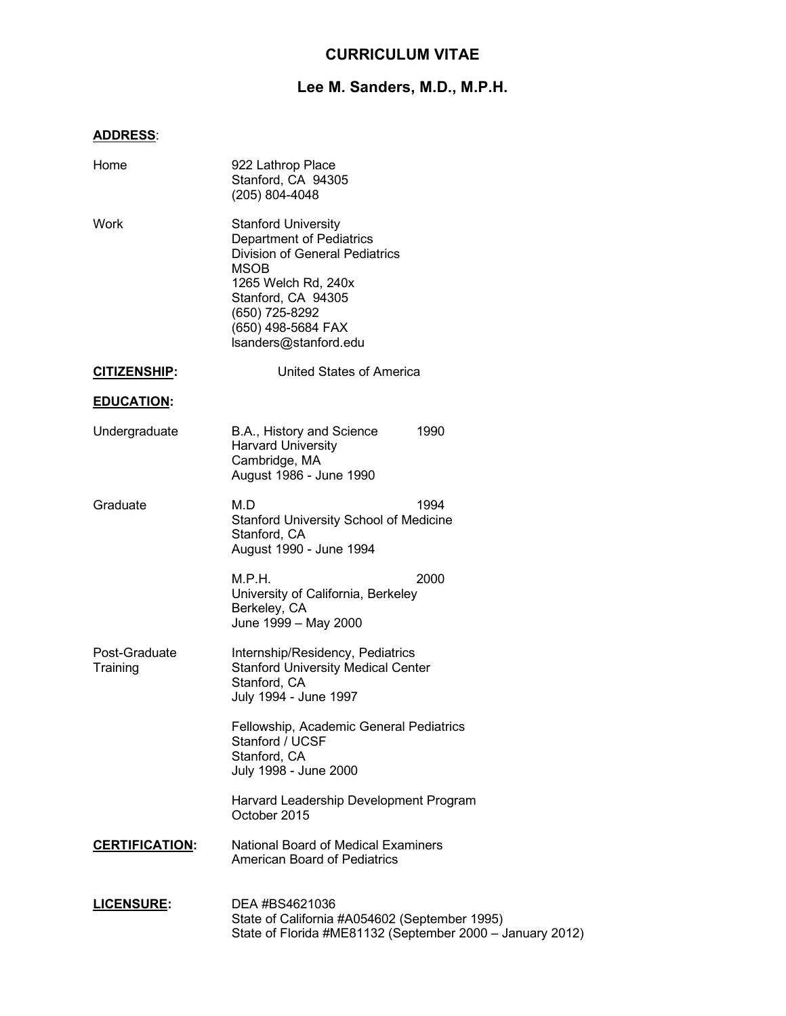## **CURRICULUM VITAE**

# **Lee M. Sanders, M.D., M.P.H.**

## **ADDRESS**:

| Home                      | 922 Lathrop Place<br>Stanford, CA 94305<br>(205) 804-4048                                                                                                                                                                    |
|---------------------------|------------------------------------------------------------------------------------------------------------------------------------------------------------------------------------------------------------------------------|
| Work                      | <b>Stanford University</b><br>Department of Pediatrics<br><b>Division of General Pediatrics</b><br><b>MSOB</b><br>1265 Welch Rd, 240x<br>Stanford, CA 94305<br>(650) 725-8292<br>(650) 498-5684 FAX<br>Isanders@stanford.edu |
| <b>CITIZENSHIP:</b>       | <b>United States of America</b>                                                                                                                                                                                              |
| <b>EDUCATION:</b>         |                                                                                                                                                                                                                              |
| Undergraduate             | 1990<br>B.A., History and Science<br><b>Harvard University</b><br>Cambridge, MA<br>August 1986 - June 1990                                                                                                                   |
| Graduate                  | M.D<br>1994<br><b>Stanford University School of Medicine</b><br>Stanford, CA<br>August 1990 - June 1994                                                                                                                      |
|                           | M.P.H.<br>2000<br>University of California, Berkeley<br>Berkeley, CA<br>June 1999 - May 2000                                                                                                                                 |
| Post-Graduate<br>Training | Internship/Residency, Pediatrics<br><b>Stanford University Medical Center</b><br>Stanford, CA<br>July 1994 - June 1997                                                                                                       |
|                           | Fellowship, Academic General Pediatrics<br>Stanford / UCSF<br>Stanford, CA<br>July 1998 - June 2000                                                                                                                          |
|                           | Harvard Leadership Development Program<br>October 2015                                                                                                                                                                       |
| <b>CERTIFICATION:</b>     | <b>National Board of Medical Examiners</b><br>American Board of Pediatrics                                                                                                                                                   |
| <b>LICENSURE:</b>         | DEA #BS4621036<br>State of California #A054602 (September 1995)<br>State of Florida #ME81132 (September 2000 - January 2012)                                                                                                 |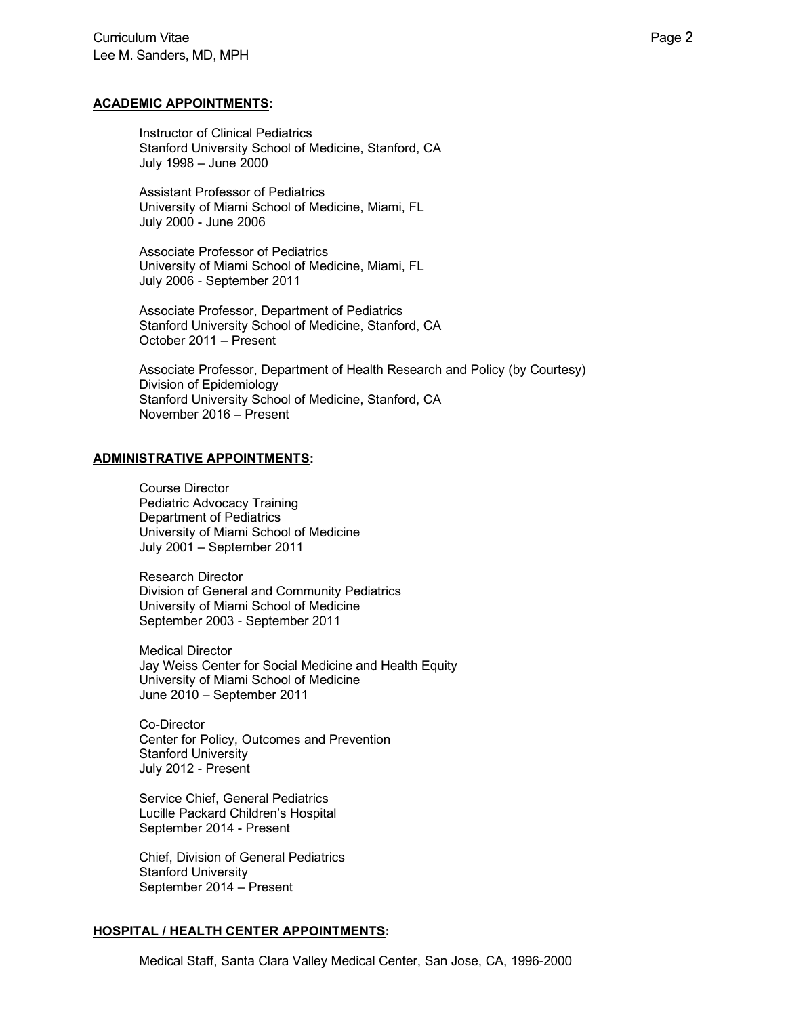#### **ACADEMIC APPOINTMENTS:**

Instructor of Clinical Pediatrics Stanford University School of Medicine, Stanford, CA July 1998 – June 2000

Assistant Professor of Pediatrics University of Miami School of Medicine, Miami, FL July 2000 - June 2006

Associate Professor of Pediatrics University of Miami School of Medicine, Miami, FL July 2006 - September 2011

Associate Professor, Department of Pediatrics Stanford University School of Medicine, Stanford, CA October 2011 – Present

Associate Professor, Department of Health Research and Policy (by Courtesy) Division of Epidemiology Stanford University School of Medicine, Stanford, CA November 2016 – Present

## **ADMINISTRATIVE APPOINTMENTS:**

Course Director Pediatric Advocacy Training Department of Pediatrics University of Miami School of Medicine July 2001 – September 2011

Research Director Division of General and Community Pediatrics University of Miami School of Medicine September 2003 - September 2011

Medical Director Jay Weiss Center for Social Medicine and Health Equity University of Miami School of Medicine June 2010 – September 2011

Co-Director Center for Policy, Outcomes and Prevention Stanford University July 2012 - Present

Service Chief, General Pediatrics Lucille Packard Children's Hospital September 2014 - Present

Chief, Division of General Pediatrics Stanford University September 2014 – Present

## **HOSPITAL / HEALTH CENTER APPOINTMENTS:**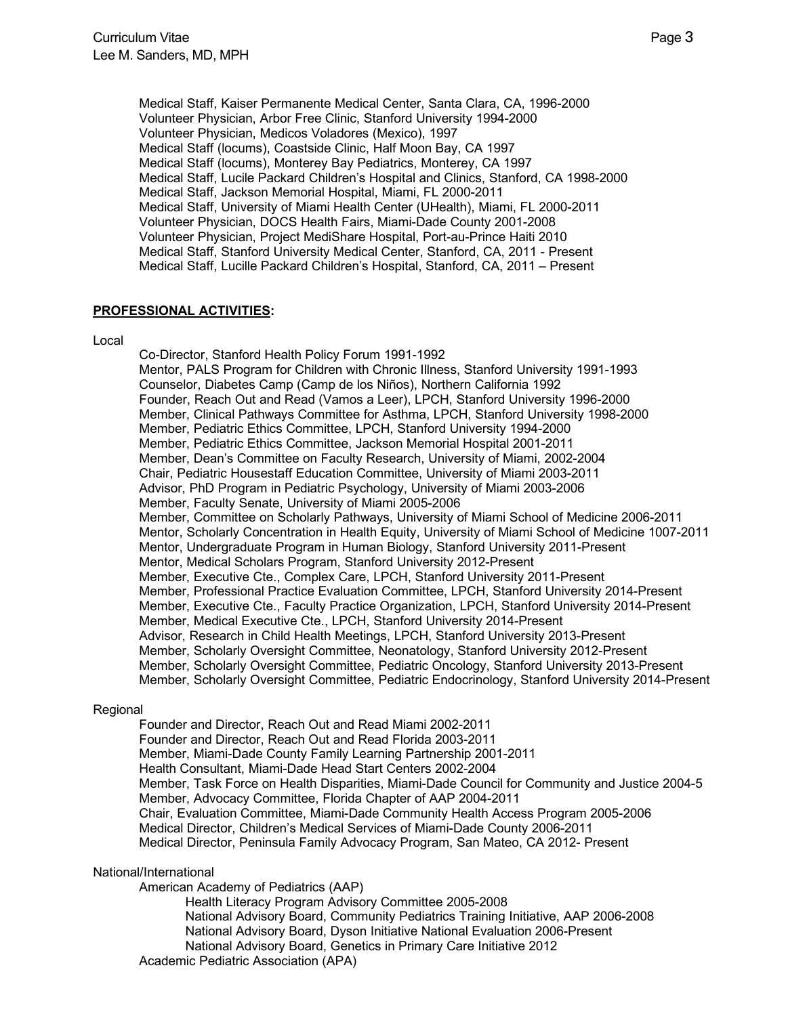Medical Staff, Kaiser Permanente Medical Center, Santa Clara, CA, 1996-2000 Volunteer Physician, Arbor Free Clinic, Stanford University 1994-2000 Volunteer Physician, Medicos Voladores (Mexico), 1997 Medical Staff (locums), Coastside Clinic, Half Moon Bay, CA 1997 Medical Staff (locums), Monterey Bay Pediatrics, Monterey, CA 1997 Medical Staff, Lucile Packard Children's Hospital and Clinics, Stanford, CA 1998-2000 Medical Staff, Jackson Memorial Hospital, Miami, FL 2000-2011 Medical Staff, University of Miami Health Center (UHealth), Miami, FL 2000-2011 Volunteer Physician, DOCS Health Fairs, Miami-Dade County 2001-2008 Volunteer Physician, Project MediShare Hospital, Port-au-Prince Haiti 2010 Medical Staff, Stanford University Medical Center, Stanford, CA, 2011 - Present Medical Staff, Lucille Packard Children's Hospital, Stanford, CA, 2011 – Present

## **PROFESSIONAL ACTIVITIES:**

Local

Co-Director, Stanford Health Policy Forum 1991-1992 Mentor, PALS Program for Children with Chronic Illness, Stanford University 1991-1993 Counselor, Diabetes Camp (Camp de los Niños), Northern California 1992 Founder, Reach Out and Read (Vamos a Leer), LPCH, Stanford University 1996-2000 Member, Clinical Pathways Committee for Asthma, LPCH, Stanford University 1998-2000 Member, Pediatric Ethics Committee, LPCH, Stanford University 1994-2000 Member, Pediatric Ethics Committee, Jackson Memorial Hospital 2001-2011 Member, Dean's Committee on Faculty Research, University of Miami, 2002-2004 Chair, Pediatric Housestaff Education Committee, University of Miami 2003-2011 Advisor, PhD Program in Pediatric Psychology, University of Miami 2003-2006 Member, Faculty Senate, University of Miami 2005-2006 Member, Committee on Scholarly Pathways, University of Miami School of Medicine 2006-2011 Mentor, Scholarly Concentration in Health Equity, University of Miami School of Medicine 1007-2011 Mentor, Undergraduate Program in Human Biology, Stanford University 2011-Present Mentor, Medical Scholars Program, Stanford University 2012-Present Member, Executive Cte., Complex Care, LPCH, Stanford University 2011-Present Member, Professional Practice Evaluation Committee, LPCH, Stanford University 2014-Present Member, Executive Cte., Faculty Practice Organization, LPCH, Stanford University 2014-Present Member, Medical Executive Cte., LPCH, Stanford University 2014-Present Advisor, Research in Child Health Meetings, LPCH, Stanford University 2013-Present Member, Scholarly Oversight Committee, Neonatology, Stanford University 2012-Present Member, Scholarly Oversight Committee, Pediatric Oncology, Stanford University 2013-Present Member, Scholarly Oversight Committee, Pediatric Endocrinology, Stanford University 2014-Present

## Regional

Founder and Director, Reach Out and Read Miami 2002-2011 Founder and Director, Reach Out and Read Florida 2003-2011 Member, Miami-Dade County Family Learning Partnership 2001-2011 Health Consultant, Miami-Dade Head Start Centers 2002-2004 Member, Task Force on Health Disparities, Miami-Dade Council for Community and Justice 2004-5 Member, Advocacy Committee, Florida Chapter of AAP 2004-2011 Chair, Evaluation Committee, Miami-Dade Community Health Access Program 2005-2006 Medical Director, Children's Medical Services of Miami-Dade County 2006-2011 Medical Director, Peninsula Family Advocacy Program, San Mateo, CA 2012- Present

## National/International

American Academy of Pediatrics (AAP)

Health Literacy Program Advisory Committee 2005-2008 National Advisory Board, Community Pediatrics Training Initiative, AAP 2006-2008 National Advisory Board, Dyson Initiative National Evaluation 2006-Present National Advisory Board, Genetics in Primary Care Initiative 2012 Academic Pediatric Association (APA)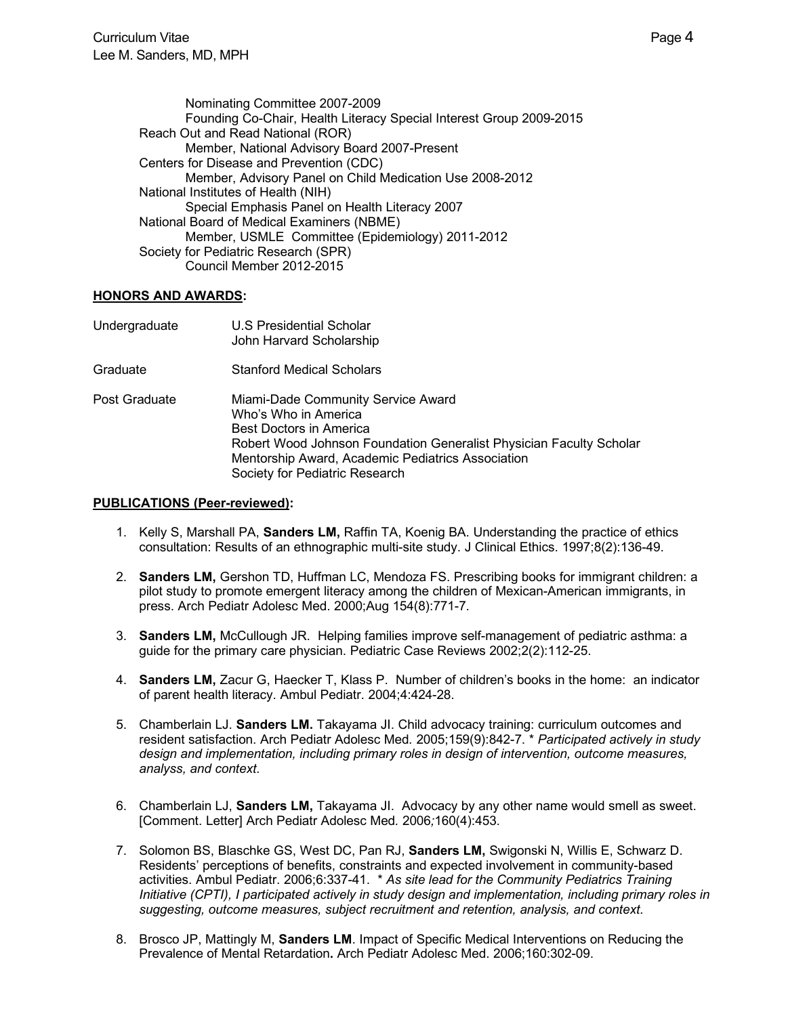Nominating Committee 2007-2009 Founding Co-Chair, Health Literacy Special Interest Group 2009-2015 Reach Out and Read National (ROR) Member, National Advisory Board 2007-Present Centers for Disease and Prevention (CDC) Member, Advisory Panel on Child Medication Use 2008-2012 National Institutes of Health (NIH) Special Emphasis Panel on Health Literacy 2007 National Board of Medical Examiners (NBME) Member, USMLE Committee (Epidemiology) 2011-2012 Society for Pediatric Research (SPR) Council Member 2012-2015

## **HONORS AND AWARDS:**

| Undergraduate | U.S Presidential Scholar<br>John Harvard Scholarship                                                                                                                                                                                                |
|---------------|-----------------------------------------------------------------------------------------------------------------------------------------------------------------------------------------------------------------------------------------------------|
| Graduate      | <b>Stanford Medical Scholars</b>                                                                                                                                                                                                                    |
| Post Graduate | Miami-Dade Community Service Award<br>Who's Who in America<br>Best Doctors in America<br>Robert Wood Johnson Foundation Generalist Physician Faculty Scholar<br>Mentorship Award, Academic Pediatrics Association<br>Society for Pediatric Research |

## **PUBLICATIONS (Peer-reviewed):**

- 1. Kelly S, Marshall PA, **Sanders LM,** Raffin TA, Koenig BA. Understanding the practice of ethics consultation: Results of an ethnographic multi-site study. J Clinical Ethics. 1997;8(2):136-49.
- 2. **Sanders LM,** Gershon TD, Huffman LC, Mendoza FS. Prescribing books for immigrant children: a pilot study to promote emergent literacy among the children of Mexican-American immigrants, in press. Arch Pediatr Adolesc Med. 2000;Aug 154(8):771-7.
- 3. **Sanders LM,** McCullough JR. Helping families improve self-management of pediatric asthma: a guide for the primary care physician. Pediatric Case Reviews 2002;2(2):112-25.
- 4. **Sanders LM,** Zacur G, Haecker T, Klass P. Number of children's books in the home: an indicator of parent health literacy. Ambul Pediatr. 2004;4:424-28.
- 5. Chamberlain LJ. **Sanders LM.** Takayama JI. Child advocacy training: curriculum outcomes and resident satisfaction. Arch Pediatr Adolesc Med*.* 2005;159(9):842-7. \* *Participated actively in study design and implementation, including primary roles in design of intervention, outcome measures, analyss, and context.*
- 6. Chamberlain LJ, **Sanders LM,** Takayama JI. Advocacy by any other name would smell as sweet. [Comment. Letter] Arch Pediatr Adolesc Med*.* 2006*;*160(4):453.
- 7. Solomon BS, Blaschke GS, West DC, Pan RJ, **Sanders LM,** Swigonski N, Willis E, Schwarz D. Residents' perceptions of benefits, constraints and expected involvement in community-based activities. Ambul Pediatr. 2006;6:337-41. \* *As site lead for the Community Pediatrics Training Initiative (CPTI), I participated actively in study design and implementation, including primary roles in suggesting, outcome measures, subject recruitment and retention, analysis, and context.*
- 8. Brosco JP, Mattingly M, **Sanders LM**. Impact of Specific Medical Interventions on Reducing the Prevalence of Mental Retardation**.** Arch Pediatr Adolesc Med. 2006;160:302-09.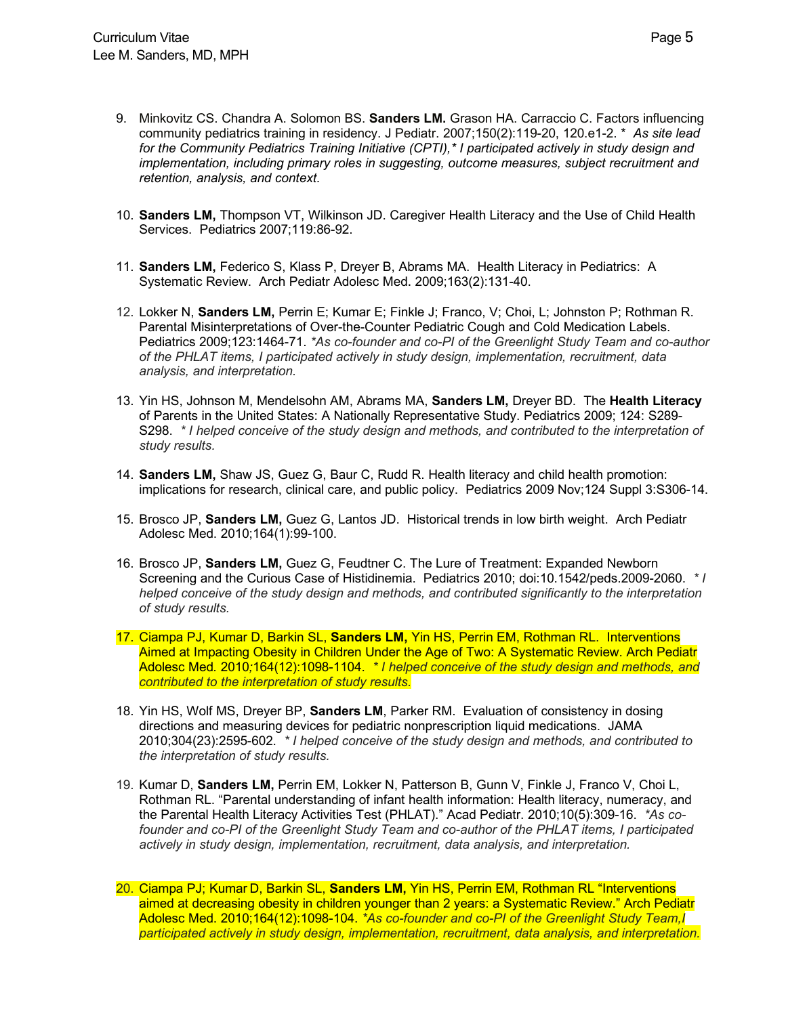- 9. Minkovitz CS. Chandra A. Solomon BS. **Sanders LM.** Grason HA. Carraccio C. Factors influencing community pediatrics training in residency. J Pediatr. 2007;150(2):119-20, 120.e1-2. \* *As site lead for the Community Pediatrics Training Initiative (CPTI),\* I participated actively in study design and implementation, including primary roles in suggesting, outcome measures, subject recruitment and retention, analysis, and context.*
- 10. **Sanders LM,** Thompson VT, Wilkinson JD. Caregiver Health Literacy and the Use of Child Health Services. Pediatrics 2007;119:86-92.
- 11. **Sanders LM,** Federico S, Klass P, Dreyer B, Abrams MA.Health Literacy in Pediatrics: A Systematic Review. Arch Pediatr Adolesc Med. 2009;163(2):131-40.
- 12. Lokker N, **Sanders LM,** Perrin E; Kumar E; Finkle J; Franco, V; Choi, L; Johnston P; Rothman R. Parental Misinterpretations of Over-the-Counter Pediatric Cough and Cold Medication Labels. Pediatrics 2009;123:1464-71. *\*As co-founder and co-PI of the Greenlight Study Team and co-author of the PHLAT items, I participated actively in study design, implementation, recruitment, data analysis, and interpretation.*
- 13. Yin HS, Johnson M, Mendelsohn AM, Abrams MA, **Sanders LM,** Dreyer BD. The **Health Literacy** of Parents in the United States: A Nationally Representative Study. Pediatrics 2009; 124: S289- S298. *\* I helped conceive of the study design and methods, and contributed to the interpretation of study results.*
- 14. **Sanders LM,** Shaw JS, Guez G, Baur C, Rudd R. Health literacy and child health promotion: implications for research, clinical care, and public policy. Pediatrics 2009 Nov;124 Suppl 3:S306-14.
- 15. Brosco JP, **Sanders LM,** Guez G, Lantos JD. Historical trends in low birth weight. Arch Pediatr Adolesc Med. 2010;164(1):99-100.
- 16. Brosco JP, **Sanders LM,** Guez G, Feudtner C. The Lure of Treatment: Expanded Newborn Screening and the Curious Case of Histidinemia. Pediatrics 2010; doi:10.1542/peds.2009-2060. *\* I helped conceive of the study design and methods, and contributed significantly to the interpretation of study results.*
- 17. Ciampa PJ, Kumar D, Barkin SL, **Sanders LM,** Yin HS, Perrin EM, Rothman RL. Interventions Aimed at Impacting Obesity in Children Under the Age of Two: A Systematic Review. Arch Pediatr Adolesc Med*.* 2010*;*164(12):1098-1104. *\* I helped conceive of the study design and methods, and contributed to the interpretation of study results.*
- 18. Yin HS, Wolf MS, Dreyer BP, **Sanders LM**, Parker RM. Evaluation of consistency in dosing directions and measuring devices for pediatric nonprescription liquid medications. JAMA 2010;304(23):2595-602. *\* I helped conceive of the study design and methods, and contributed to the interpretation of study results.*
- 19. Kumar D, **Sanders LM,** Perrin EM, Lokker N, Patterson B, Gunn V, Finkle J, Franco V, Choi L, Rothman RL. "Parental understanding of infant health information: Health literacy, numeracy, and the Parental Health Literacy Activities Test (PHLAT)." Acad Pediatr. 2010;10(5):309-16. *\*As cofounder and co-PI of the Greenlight Study Team and co-author of the PHLAT items, I participated actively in study design, implementation, recruitment, data analysis, and interpretation.*
- 20. Ciampa PJ; Kumar D, Barkin SL, **Sanders LM,** Yin HS, Perrin EM, Rothman RL "Interventions aimed at decreasing obesity in children younger than 2 years: a Systematic Review." Arch Pediatr Adolesc Med. 2010;164(12):1098-104. *\*As co-founder and co-PI of the Greenlight Study Team,I participated actively in study design, implementation, recruitment, data analysis, and interpretation.*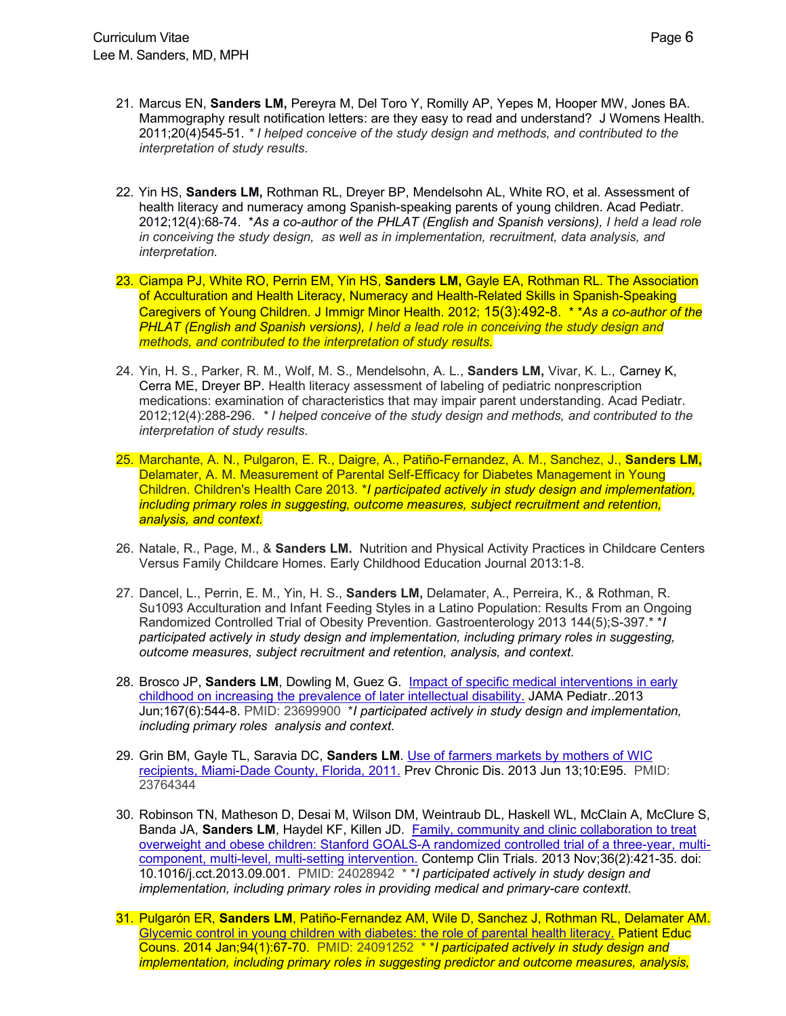- 21. Marcus EN, **Sanders LM,** Pereyra M, Del Toro Y, Romilly AP, Yepes M, Hooper MW, Jones BA. Mammography result notification letters: are they easy to read and understand? J Womens Health. 2011;20(4)545-51. *\* I helped conceive of the study design and methods, and contributed to the interpretation of study results.*
- 22. Yin HS, **Sanders LM,** Rothman RL, Dreyer BP, Mendelsohn AL, White RO, et al. Assessment of health literacy and numeracy among Spanish-speaking parents of young children. Acad Pediatr. 2012;12(4):68-74. \**As a co-author of the PHLAT (English and Spanish versions), I held a lead role in conceiving the study design, as well as in implementation, recruitment, data analysis, and interpretation.*
- 23. Ciampa PJ, White RO, Perrin EM, Yin HS, **Sanders LM,** Gayle EA, Rothman RL. The Association of Acculturation and Health Literacy, Numeracy and Health-Related Skills in Spanish-Speaking Caregivers of Young Children. J Immigr Minor Health. 2012; 15(3):492-8. \* \**As a co-author of the PHLAT (English and Spanish versions), I held a lead role in conceiving the study design and methods, and contributed to the interpretation of study results.*
- 24. Yin, H. S., Parker, R. M., Wolf, M. S., Mendelsohn, A. L., **Sanders LM,** Vivar, K. L., Carney K, Cerra ME, Dreyer BP. Health literacy assessment of labeling of pediatric nonprescription medications: examination of characteristics that may impair parent understanding. Acad Pediatr. 2012;12(4):288-296. *\* I helped conceive of the study design and methods, and contributed to the interpretation of study results.*
- 25. Marchante, A. N., Pulgaron, E. R., Daigre, A., Patiño-Fernandez, A. M., Sanchez, J., **Sanders LM,**  Delamater, A. M. Measurement of Parental Self-Efficacy for Diabetes Management in Young Children. Children's Health Care 2013. \**I participated actively in study design and implementation, including primary roles in suggesting, outcome measures, subject recruitment and retention, analysis, and context.*
- 26. Natale, R., Page, M., & **Sanders LM.** Nutrition and Physical Activity Practices in Childcare Centers Versus Family Childcare Homes. Early Childhood Education Journal 2013:1-8.
- 27. Dancel, L., Perrin, E. M., Yin, H. S., **Sanders LM,** Delamater, A., Perreira, K., & Rothman, R. Su1093 Acculturation and Infant Feeding Styles in a Latino Population: Results From an Ongoing Randomized Controlled Trial of Obesity Prevention. Gastroenterology 2013 144(5);S-397.\* \**I participated actively in study design and implementation, including primary roles in suggesting, outcome measures, subject recruitment and retention, analysis, and context.*
- 28. Brosco JP, **Sanders LM**, Dowling M, Guez G. Impact of specific medical interventions in early childhood on increasing the prevalence of later intellectual disability. JAMA Pediatr..2013 Jun;167(6):544-8. PMID: 23699900 \**I participated actively in study design and implementation, including primary roles analysis and context.*
- 29. Grin BM, Gayle TL, Saravia DC, **Sanders LM**. Use of farmers markets by mothers of WIC recipients, Miami-Dade County, Florida, 2011. Prev Chronic Dis. 2013 Jun 13;10:E95. PMID: 23764344
- 30. Robinson TN, Matheson D, Desai M, Wilson DM, Weintraub DL, Haskell WL, McClain A, McClure S, Banda JA, **Sanders LM**, Haydel KF, Killen JD. Family, community and clinic collaboration to treat overweight and obese children: Stanford GOALS-A randomized controlled trial of a three-year, multicomponent, multi-level, multi-setting intervention. Contemp Clin Trials. 2013 Nov;36(2):421-35. doi: 10.1016/j.cct.2013.09.001. PMID: 24028942 \* \**I participated actively in study design and implementation, including primary roles in providing medical and primary-care contextt.*
- 31. Pulgarón ER, **Sanders LM**, Patiño-Fernandez AM, Wile D, Sanchez J, Rothman RL, Delamater AM. Glycemic control in young children with diabetes: the role of parental health literacy. Patient Educ Couns. 2014 Jan;94(1):67-70. PMID: 24091252 \* \**I participated actively in study design and implementation, including primary roles in suggesting predictor and outcome measures, analysis,*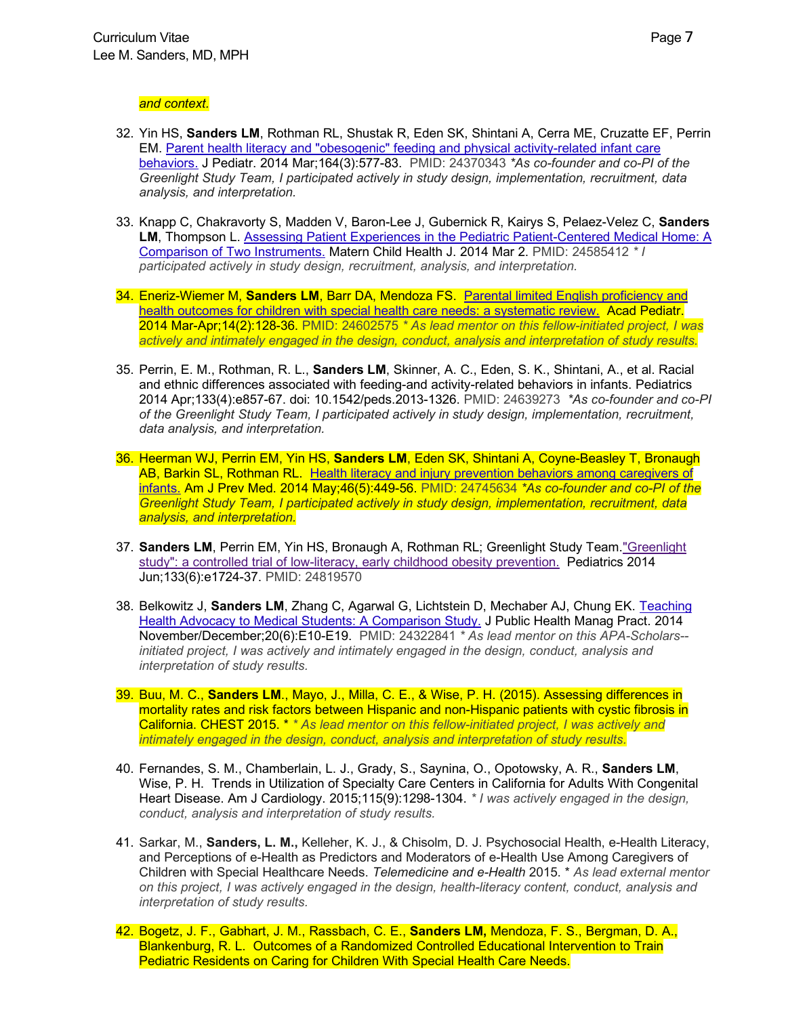#### *and context.*

- 32. Yin HS, **Sanders LM**, Rothman RL, Shustak R, Eden SK, Shintani A, Cerra ME, Cruzatte EF, Perrin EM. Parent health literacy and "obesogenic" feeding and physical activity-related infant care behaviors. J Pediatr. 2014 Mar;164(3):577-83. PMID: 24370343 *\*As co-founder and co-PI of the Greenlight Study Team, I participated actively in study design, implementation, recruitment, data analysis, and interpretation.*
- 33. Knapp C, Chakravorty S, Madden V, Baron-Lee J, Gubernick R, Kairys S, Pelaez-Velez C, **Sanders LM**, Thompson L. Assessing Patient Experiences in the Pediatric Patient-Centered Medical Home: A Comparison of Two Instruments. Matern Child Health J. 2014 Mar 2. PMID: 24585412 *\* I participated actively in study design, recruitment, analysis, and interpretation.*
- 34. Eneriz-Wiemer M, **Sanders LM**, Barr DA, Mendoza FS. Parental limited English proficiency and health outcomes for children with special health care needs: a systematic review. Acad Pediatr. 2014 Mar-Apr;14(2):128-36. PMID: 24602575 *\* As lead mentor on this fellow-initiated project, I was actively and intimately engaged in the design, conduct, analysis and interpretation of study results.*
- 35. Perrin, E. M., Rothman, R. L., **Sanders LM**, Skinner, A. C., Eden, S. K., Shintani, A., et al. Racial and ethnic differences associated with feeding-and activity-related behaviors in infants. Pediatrics 2014 Apr;133(4):e857-67. doi: 10.1542/peds.2013-1326. PMID: 24639273 *\*As co-founder and co-PI of the Greenlight Study Team, I participated actively in study design, implementation, recruitment, data analysis, and interpretation.*
- 36. Heerman WJ, Perrin EM, Yin HS, **Sanders LM**, Eden SK, Shintani A, Coyne-Beasley T, Bronaugh AB, Barkin SL, Rothman RL. Health literacy and injury prevention behaviors among caregivers of infants. Am J Prev Med. 2014 May;46(5):449-56. PMID: 24745634 *\*As co-founder and co-PI of the Greenlight Study Team, I participated actively in study design, implementation, recruitment, data analysis, and interpretation.*
- 37. **Sanders LM**, Perrin EM, Yin HS, Bronaugh A, Rothman RL; Greenlight Study Team."Greenlight study": a controlled trial of low-literacy, early childhood obesity prevention. Pediatrics 2014 Jun;133(6):e1724-37. PMID: 24819570
- 38. Belkowitz J, **Sanders LM**, Zhang C, Agarwal G, Lichtstein D, Mechaber AJ, Chung EK. Teaching Health Advocacy to Medical Students: A Comparison Study. J Public Health Manag Pract. 2014 November/December;20(6):E10-E19. PMID: 24322841 *\* As lead mentor on this APA-Scholars- initiated project, I was actively and intimately engaged in the design, conduct, analysis and interpretation of study results.*
- 39. Buu, M. C., **Sanders LM**., Mayo, J., Milla, C. E., & Wise, P. H. (2015). Assessing differences in mortality rates and risk factors between Hispanic and non-Hispanic patients with cystic fibrosis in California. CHEST 2015. \* *\* As lead mentor on this fellow-initiated project, I was actively and intimately engaged in the design, conduct, analysis and interpretation of study results.*
- 40. Fernandes, S. M., Chamberlain, L. J., Grady, S., Saynina, O., Opotowsky, A. R., **Sanders LM**, Wise, P. H. Trends in Utilization of Specialty Care Centers in California for Adults With Congenital Heart Disease. Am J Cardiology. 2015;115(9):1298-1304. *\* I was actively engaged in the design, conduct, analysis and interpretation of study results.*
- 41. Sarkar, M., **Sanders, L. M.,** Kelleher, K. J., & Chisolm, D. J. Psychosocial Health, e-Health Literacy, and Perceptions of e-Health as Predictors and Moderators of e-Health Use Among Caregivers of Children with Special Healthcare Needs. *Telemedicine and e-Health* 2015. \* *As lead external mentor on this project, I was actively engaged in the design, health-literacy content, conduct, analysis and interpretation of study results.*
- 42. Bogetz, J. F., Gabhart, J. M., Rassbach, C. E., **Sanders LM,** Mendoza, F. S., Bergman, D. A., Blankenburg, R. L. Outcomes of a Randomized Controlled Educational Intervention to Train Pediatric Residents on Caring for Children With Special Health Care Needs.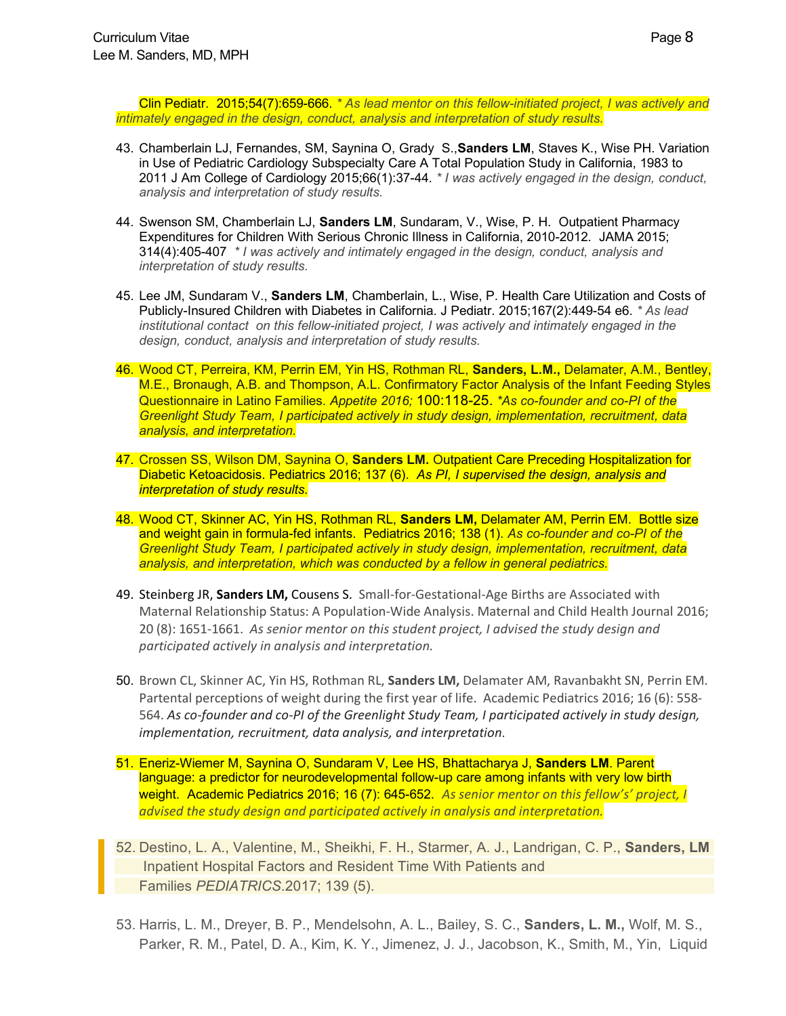Clin Pediatr. 2015;54(7):659-666. *\* As lead mentor on this fellow-initiated project, I was actively and intimately engaged in the design, conduct, analysis and interpretation of study results.*

- 43. Chamberlain LJ, Fernandes, SM, Saynina O, Grady S.,**Sanders LM**, Staves K., Wise PH. Variation in Use of Pediatric Cardiology Subspecialty Care A Total Population Study in California, 1983 to 2011 J Am College of Cardiology 2015;66(1):37-44. *\* I was actively engaged in the design, conduct, analysis and interpretation of study results.*
- 44. Swenson SM, Chamberlain LJ, **Sanders LM**, Sundaram, V., Wise, P. H. Outpatient Pharmacy Expenditures for Children With Serious Chronic Illness in California, 2010-2012. JAMA 2015; 314(4):405-407 *\* I was actively and intimately engaged in the design, conduct, analysis and interpretation of study results.*
- 45. Lee JM, Sundaram V., **Sanders LM**, Chamberlain, L., Wise, P. Health Care Utilization and Costs of Publicly-Insured Children with Diabetes in California. J Pediatr. 2015;167(2):449-54 e6. *\* As lead institutional contact on this fellow-initiated project, I was actively and intimately engaged in the design, conduct, analysis and interpretation of study results.*
- 46. Wood CT, Perreira, KM, Perrin EM, Yin HS, Rothman RL, **Sanders, L.M.,** Delamater, A.M., Bentley, M.E., Bronaugh, A.B. and Thompson, A.L. Confirmatory Factor Analysis of the Infant Feeding Styles Questionnaire in Latino Families. *Appetite 2016;* 100:118-25. *\*As co-founder and co-PI of the Greenlight Study Team, I participated actively in study design, implementation, recruitment, data analysis, and interpretation.*
- 47. Crossen SS, Wilson DM, Saynina O, **Sanders LM.** Outpatient Care Preceding Hospitalization for Diabetic Ketoacidosis. Pediatrics 2016; 137 (6). *As PI, I supervised the design, analysis and interpretation of study results.*
- 48. Wood CT, Skinner AC, Yin HS, Rothman RL, **Sanders LM,** Delamater AM, Perrin EM. Bottle size and weight gain in formula-fed infants. Pediatrics 2016; 138 (1). *As co-founder and co-PI of the Greenlight Study Team, I participated actively in study design, implementation, recruitment, data analysis, and interpretation, which was conducted by a fellow in general pediatrics.*
- 49. Steinberg JR, **Sanders LM,** Cousens S. Small-for-Gestational-Age Births are Associated with Maternal Relationship Status: A Population-Wide Analysis. Maternal and Child Health Journal 2016; 20 (8): 1651-1661. *As senior mentor on this student project, I advised the study design and participated actively in analysis and interpretation.*
- 50. Brown CL, Skinner AC, Yin HS, Rothman RL, **Sanders LM,** Delamater AM, Ravanbakht SN, Perrin EM. Partental perceptions of weight during the first year of life. Academic Pediatrics 2016; 16 (6): 558- 564. *As co-founder and co-PI of the Greenlight Study Team, I participated actively in study design, implementation, recruitment, data analysis, and interpretation.*
- 51. Eneriz-Wiemer M, Saynina O, Sundaram V, Lee HS, Bhattacharya J, **Sanders LM**. Parent language: a predictor for neurodevelopmental follow-up care among infants with very low birth weight. Academic Pediatrics 2016; 16 (7): 645-652. *As senior mentor on this fellow's' project, I advised the study design and participated actively in analysis and interpretation.*
- 52. Destino, L. A., Valentine, M., Sheikhi, F. H., Starmer, A. J., Landrigan, C. P., **Sanders, LM**  Inpatient Hospital Factors and Resident Time With Patients and Families *PEDIATRICS*.2017; 139 (5).
- 53. Harris, L. M., Dreyer, B. P., Mendelsohn, A. L., Bailey, S. C., **Sanders, L. M.,** Wolf, M. S., Parker, R. M., Patel, D. A., Kim, K. Y., Jimenez, J. J., Jacobson, K., Smith, M., Yin, Liquid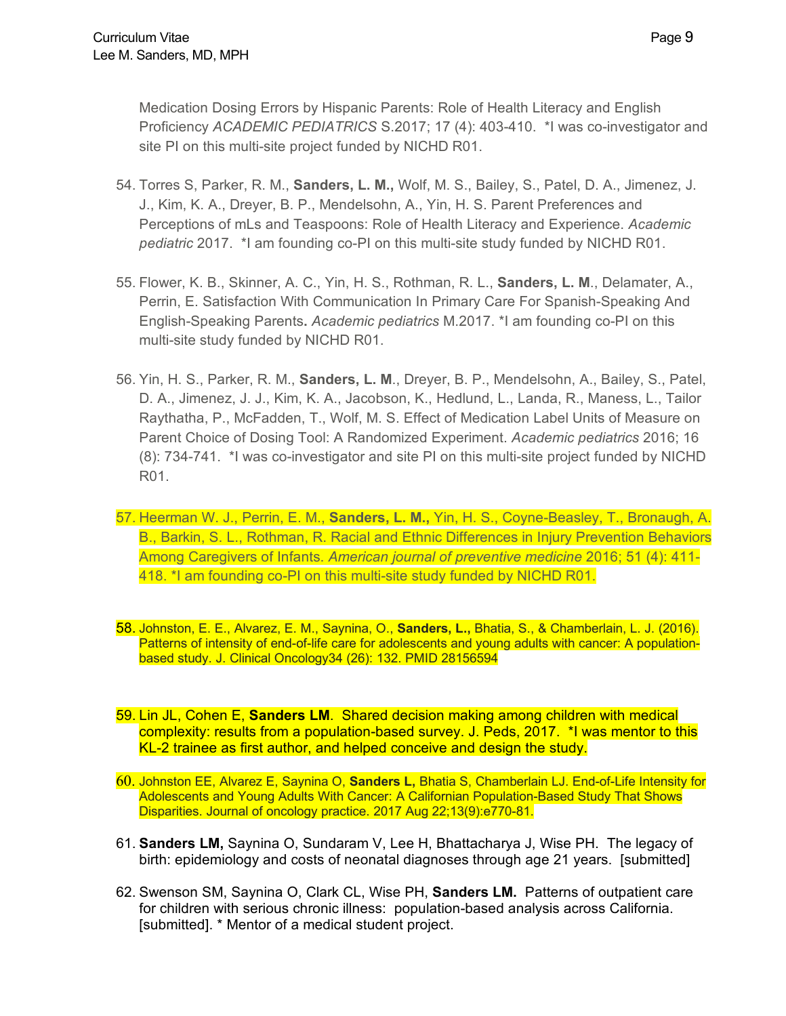Medication Dosing Errors by Hispanic Parents: Role of Health Literacy and English Proficiency *ACADEMIC PEDIATRICS* S.2017; 17 (4): 403-410. \*I was co-investigator and site PI on this multi-site project funded by NICHD R01.

- 54. Torres S, Parker, R. M., **Sanders, L. M.,** Wolf, M. S., Bailey, S., Patel, D. A., Jimenez, J. J., Kim, K. A., Dreyer, B. P., Mendelsohn, A., Yin, H. S. Parent Preferences and Perceptions of mLs and Teaspoons: Role of Health Literacy and Experience. *Academic pediatric* 2017. \*I am founding co-PI on this multi-site study funded by NICHD R01.
- 55. Flower, K. B., Skinner, A. C., Yin, H. S., Rothman, R. L., **Sanders, L. M**., Delamater, A., Perrin, E. Satisfaction With Communication In Primary Care For Spanish-Speaking And English-Speaking Parents**.** *Academic pediatrics* M.2017. \*I am founding co-PI on this multi-site study funded by NICHD R01.
- 56. Yin, H. S., Parker, R. M., **Sanders, L. M**., Dreyer, B. P., Mendelsohn, A., Bailey, S., Patel, D. A., Jimenez, J. J., Kim, K. A., Jacobson, K., Hedlund, L., Landa, R., Maness, L., Tailor Raythatha, P., McFadden, T., Wolf, M. S. Effect of Medication Label Units of Measure on Parent Choice of Dosing Tool: A Randomized Experiment. *Academic pediatrics* 2016; 16 (8): 734-741. \*I was co-investigator and site PI on this multi-site project funded by NICHD R01.
- 57. Heerman W. J., Perrin, E. M., **Sanders, L. M.,** Yin, H. S., Coyne-Beasley, T., Bronaugh, A. B., Barkin, S. L., Rothman, R. Racial and Ethnic Differences in Injury Prevention Behaviors Among Caregivers of Infants. *American journal of preventive medicine* 2016; 51 (4): 411- 418. \*I am founding co-PI on this multi-site study funded by NICHD R01.
- 58. Johnston, E. E., Alvarez, E. M., Saynina, O., **Sanders, L.,** Bhatia, S., & Chamberlain, L. J. (2016). Patterns of intensity of end-of-life care for adolescents and young adults with cancer: A populationbased study. J. Clinical Oncology34 (26): 132. PMID 28156594
- 59. Lin JL, Cohen E, **Sanders LM**. Shared decision making among children with medical complexity: results from a population-based survey. J. Peds, 2017. \*I was mentor to this KL-2 trainee as first author, and helped conceive and design the study.
- 60. Johnston EE, Alvarez E, Saynina O, **Sanders L,** Bhatia S, Chamberlain LJ. End-of-Life Intensity for Adolescents and Young Adults With Cancer: A Californian Population-Based Study That Shows Disparities. Journal of oncology practice. 2017 Aug 22;13(9):e770-81.
- 61. **Sanders LM,** Saynina O, Sundaram V, Lee H, Bhattacharya J, Wise PH. The legacy of birth: epidemiology and costs of neonatal diagnoses through age 21 years. [submitted]
- 62. Swenson SM, Saynina O, Clark CL, Wise PH, **Sanders LM.** Patterns of outpatient care for children with serious chronic illness: population-based analysis across California. [submitted]. \* Mentor of a medical student project.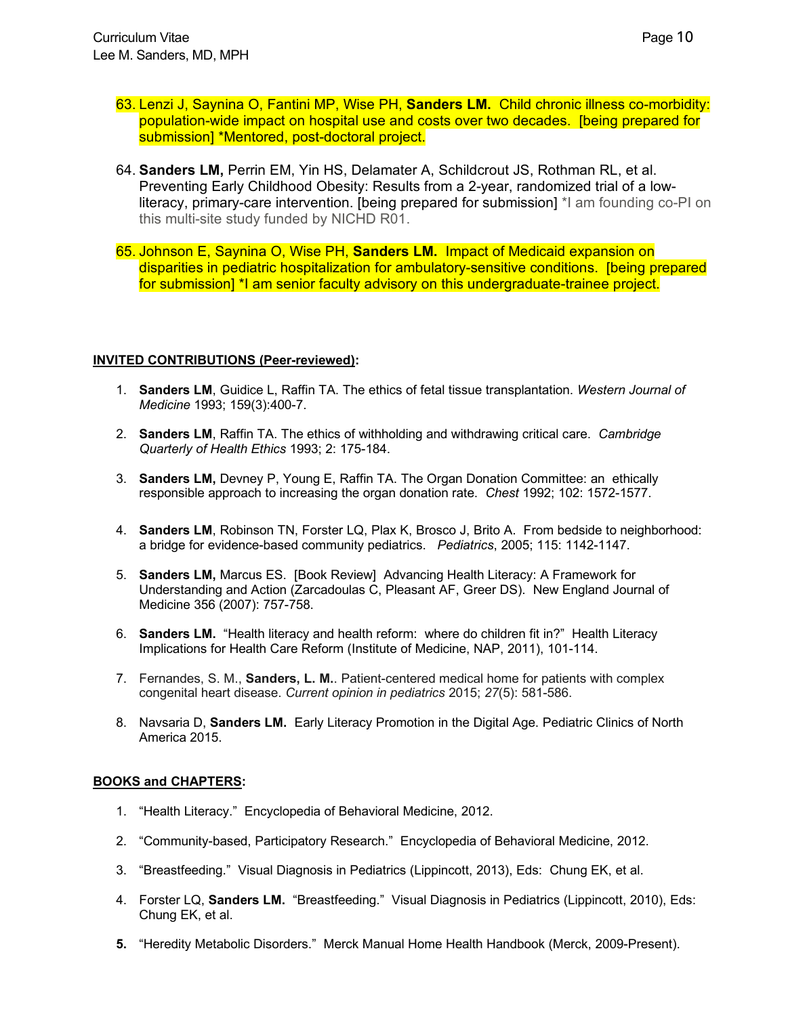- 63. Lenzi J, Saynina O, Fantini MP, Wise PH, **Sanders LM.** Child chronic illness co-morbidity: population-wide impact on hospital use and costs over two decades. [being prepared for submission] \*Mentored, post-doctoral project.
- 64. **Sanders LM,** Perrin EM, Yin HS, Delamater A, Schildcrout JS, Rothman RL, et al. Preventing Early Childhood Obesity: Results from a 2-year, randomized trial of a lowliteracy, primary-care intervention. [being prepared for submission] \*I am founding co-PI on this multi-site study funded by NICHD R01.
- 65. Johnson E, Saynina O, Wise PH, **Sanders LM.** Impact of Medicaid expansion on disparities in pediatric hospitalization for ambulatory-sensitive conditions. [being prepared for submission] \*I am senior faculty advisory on this undergraduate-trainee project.

## **INVITED CONTRIBUTIONS (Peer-reviewed):**

- 1. **Sanders LM**, Guidice L, Raffin TA. The ethics of fetal tissue transplantation. *Western Journal of Medicine* 1993; 159(3):400-7.
- 2. **Sanders LM**, Raffin TA. The ethics of withholding and withdrawing critical care. *Cambridge Quarterly of Health Ethics* 1993; 2: 175-184.
- 3. **Sanders LM,** Devney P, Young E, Raffin TA. The Organ Donation Committee: an ethically responsible approach to increasing the organ donation rate. *Chest* 1992; 102: 1572-1577.
- 4. **Sanders LM**, Robinson TN, Forster LQ, Plax K, Brosco J, Brito A. From bedside to neighborhood: a bridge for evidence-based community pediatrics. *Pediatrics*, 2005; 115: 1142-1147.
- 5. **Sanders LM,** Marcus ES. [Book Review] Advancing Health Literacy: A Framework for Understanding and Action (Zarcadoulas C, Pleasant AF, Greer DS). New England Journal of Medicine 356 (2007): 757-758.
- 6. **Sanders LM.** "Health literacy and health reform: where do children fit in?" Health Literacy Implications for Health Care Reform (Institute of Medicine, NAP, 2011), 101-114.
- 7. Fernandes, S. M., **Sanders, L. M.**. Patient-centered medical home for patients with complex congenital heart disease. *Current opinion in pediatrics* 2015; *27*(5): 581-586.
- 8. Navsaria D, **Sanders LM.** Early Literacy Promotion in the Digital Age. Pediatric Clinics of North America 2015.

## **BOOKS and CHAPTERS:**

- 1. "Health Literacy." Encyclopedia of Behavioral Medicine, 2012.
- 2. "Community-based, Participatory Research." Encyclopedia of Behavioral Medicine, 2012.
- 3. "Breastfeeding." Visual Diagnosis in Pediatrics (Lippincott, 2013), Eds: Chung EK, et al.
- 4. Forster LQ, **Sanders LM.** "Breastfeeding." Visual Diagnosis in Pediatrics (Lippincott, 2010), Eds: Chung EK, et al.
- **5.** "Heredity Metabolic Disorders." Merck Manual Home Health Handbook (Merck, 2009-Present).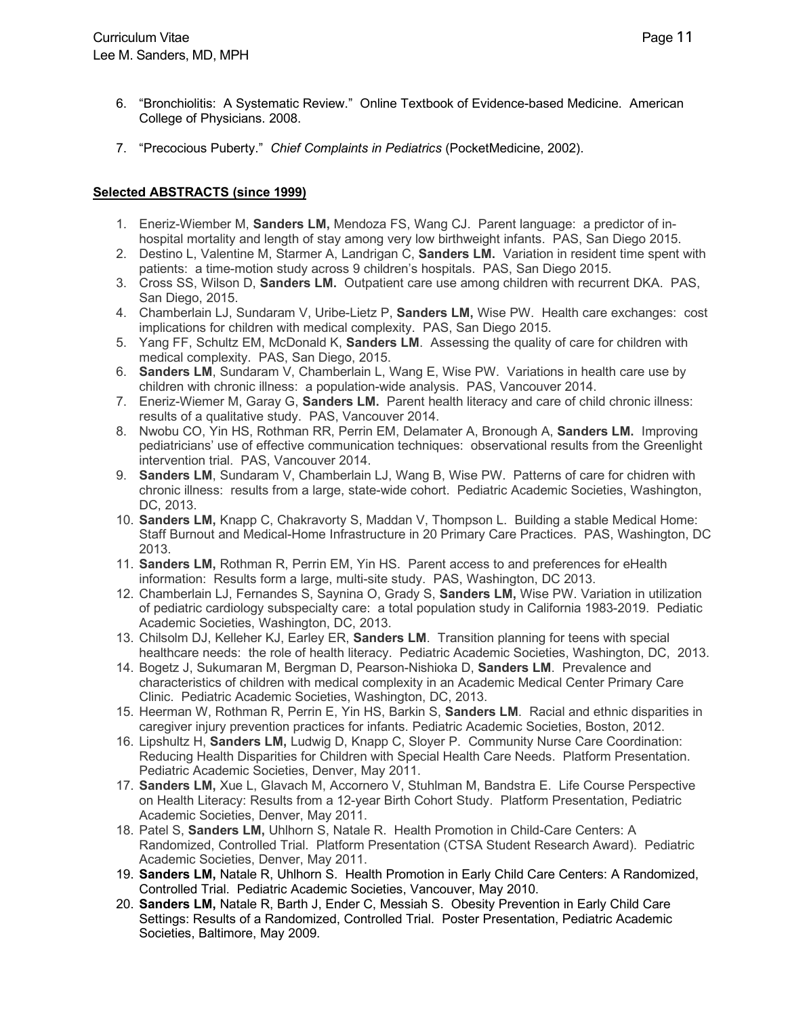- 6. "Bronchiolitis: A Systematic Review." Online Textbook of Evidence-based Medicine. American College of Physicians. 2008.
- 7. "Precocious Puberty." *Chief Complaints in Pediatrics* (PocketMedicine, 2002).

## **Selected ABSTRACTS (since 1999)**

- 1. Eneriz-Wiember M, **Sanders LM,** Mendoza FS, Wang CJ. Parent language: a predictor of inhospital mortality and length of stay among very low birthweight infants. PAS, San Diego 2015.
- 2. Destino L, Valentine M, Starmer A, Landrigan C, **Sanders LM.** Variation in resident time spent with patients: a time-motion study across 9 children's hospitals. PAS, San Diego 2015.
- 3. Cross SS, Wilson D, **Sanders LM.** Outpatient care use among children with recurrent DKA. PAS, San Diego, 2015.
- 4. Chamberlain LJ, Sundaram V, Uribe-Lietz P, **Sanders LM,** Wise PW. Health care exchanges: cost implications for children with medical complexity. PAS, San Diego 2015.
- 5. Yang FF, Schultz EM, McDonald K, **Sanders LM**. Assessing the quality of care for children with medical complexity. PAS, San Diego, 2015.
- 6. **Sanders LM**, Sundaram V, Chamberlain L, Wang E, Wise PW. Variations in health care use by children with chronic illness: a population-wide analysis. PAS, Vancouver 2014.
- 7. Eneriz-Wiemer M, Garay G, **Sanders LM.** Parent health literacy and care of child chronic illness: results of a qualitative study. PAS, Vancouver 2014.
- 8. Nwobu CO, Yin HS, Rothman RR, Perrin EM, Delamater A, Bronough A, **Sanders LM.** Improving pediatricians' use of effective communication techniques: observational results from the Greenlight intervention trial. PAS, Vancouver 2014.
- 9. **Sanders LM**, Sundaram V, Chamberlain LJ, Wang B, Wise PW. Patterns of care for chidren with chronic illness: results from a large, state-wide cohort. Pediatric Academic Societies, Washington, DC, 2013.
- 10. **Sanders LM,** Knapp C, Chakravorty S, Maddan V, Thompson L. Building a stable Medical Home: Staff Burnout and Medical-Home Infrastructure in 20 Primary Care Practices. PAS, Washington, DC 2013.
- 11. **Sanders LM,** Rothman R, Perrin EM, Yin HS.Parent access to and preferences for eHealth information: Results form a large, multi-site study. PAS, Washington, DC 2013.
- 12. Chamberlain LJ, Fernandes S, Saynina O, Grady S, **Sanders LM,** Wise PW. Variation in utilization of pediatric cardiology subspecialty care: a total population study in California 1983-2019. Pediatic Academic Societies, Washington, DC, 2013.
- 13. Chilsolm DJ, Kelleher KJ, Earley ER, **Sanders LM**. Transition planning for teens with special healthcare needs: the role of health literacy. Pediatric Academic Societies, Washington, DC, 2013.
- 14. Bogetz J, Sukumaran M, Bergman D, Pearson-Nishioka D, **Sanders LM**. Prevalence and characteristics of children with medical complexity in an Academic Medical Center Primary Care Clinic. Pediatric Academic Societies, Washington, DC, 2013.
- 15. Heerman W, Rothman R, Perrin E, Yin HS, Barkin S, **Sanders LM**. Racial and ethnic disparities in caregiver injury prevention practices for infants. Pediatric Academic Societies, Boston, 2012.
- 16. Lipshultz H, **Sanders LM,** Ludwig D, Knapp C, Sloyer P. Community Nurse Care Coordination: Reducing Health Disparities for Children with Special Health Care Needs. Platform Presentation. Pediatric Academic Societies, Denver, May 2011.
- 17. **Sanders LM,** Xue L, Glavach M, Accornero V, Stuhlman M, Bandstra E. Life Course Perspective on Health Literacy: Results from a 12-year Birth Cohort Study. Platform Presentation, Pediatric Academic Societies, Denver, May 2011.
- 18. Patel S, **Sanders LM,** Uhlhorn S, Natale R. Health Promotion in Child-Care Centers: A Randomized, Controlled Trial. Platform Presentation (CTSA Student Research Award). Pediatric Academic Societies, Denver, May 2011.
- 19. **Sanders LM,** Natale R, Uhlhorn S.Health Promotion in Early Child Care Centers: A Randomized, Controlled Trial. Pediatric Academic Societies, Vancouver, May 2010.
- 20. **Sanders LM,** Natale R, Barth J, Ender C, Messiah S. Obesity Prevention in Early Child Care Settings: Results of a Randomized, Controlled Trial.Poster Presentation, Pediatric Academic Societies, Baltimore, May 2009.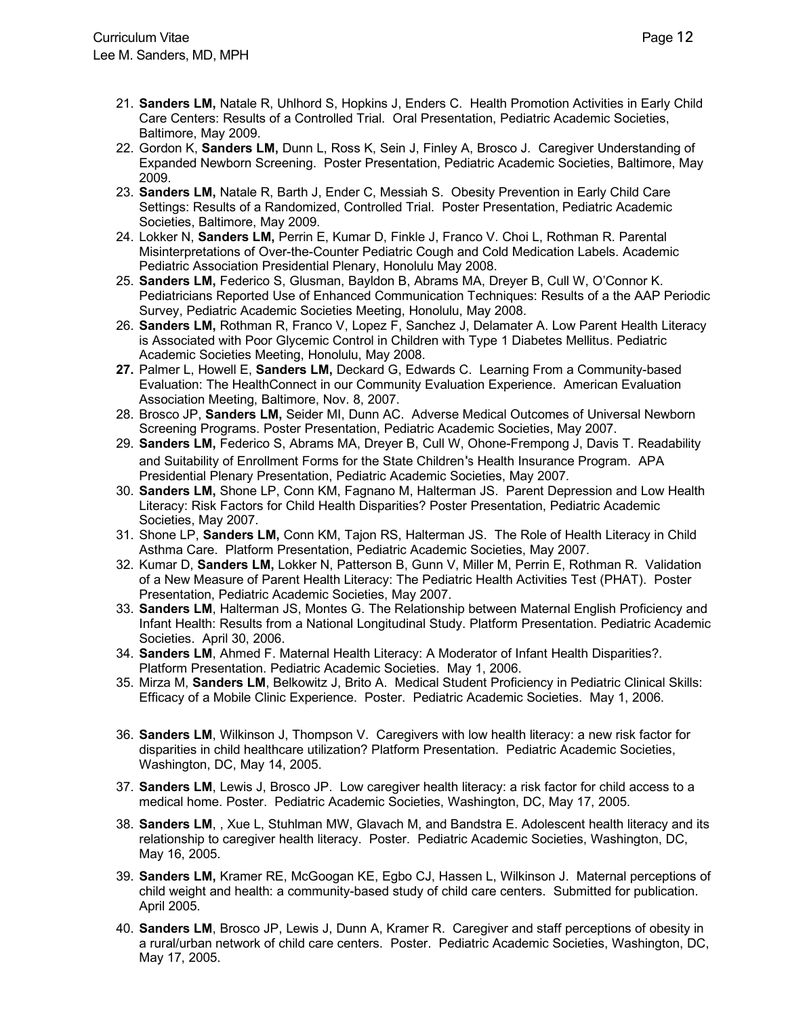- 21. **Sanders LM,** Natale R, Uhlhord S, Hopkins J, Enders C.Health Promotion Activities in Early Child Care Centers: Results of a Controlled Trial. Oral Presentation, Pediatric Academic Societies, Baltimore, May 2009.
- 22. Gordon K, **Sanders LM,** Dunn L, Ross K, Sein J, Finley A, Brosco J. Caregiver Understanding of Expanded Newborn Screening.Poster Presentation, Pediatric Academic Societies, Baltimore, May 2009.
- 23. **Sanders LM,** Natale R, Barth J, Ender C, Messiah S. Obesity Prevention in Early Child Care Settings: Results of a Randomized, Controlled Trial.Poster Presentation, Pediatric Academic Societies, Baltimore, May 2009.
- 24. Lokker N, **Sanders LM,** Perrin E, Kumar D, Finkle J, Franco V. Choi L, Rothman R. Parental Misinterpretations of Over-the-Counter Pediatric Cough and Cold Medication Labels. Academic Pediatric Association Presidential Plenary, Honolulu May 2008.
- 25. **Sanders LM,** Federico S, Glusman, Bayldon B, Abrams MA, Dreyer B, Cull W, O'Connor K. Pediatricians Reported Use of Enhanced Communication Techniques: Results of a the AAP Periodic Survey, Pediatric Academic Societies Meeting, Honolulu, May 2008.
- 26. **Sanders LM,** Rothman R, Franco V, Lopez F, Sanchez J, Delamater A. Low Parent Health Literacy is Associated with Poor Glycemic Control in Children with Type 1 Diabetes Mellitus. Pediatric Academic Societies Meeting, Honolulu, May 2008.
- **27.** Palmer L, Howell E, **Sanders LM,** Deckard G, Edwards C. Learning From a Community-based Evaluation: The HealthConnect in our Community Evaluation Experience. American Evaluation Association Meeting, Baltimore, Nov. 8, 2007.
- 28. Brosco JP, **Sanders LM,** Seider MI, Dunn AC. Adverse Medical Outcomes of Universal Newborn Screening Programs. Poster Presentation, Pediatric Academic Societies, May 2007.
- 29. **Sanders LM,** Federico S, Abrams MA, Dreyer B, Cull W, Ohone-Frempong J, Davis T. Readability and Suitability of Enrollment Forms for the State Children's Health Insurance Program. APA Presidential Plenary Presentation, Pediatric Academic Societies, May 2007.
- 30. **Sanders LM,** Shone LP, Conn KM, Fagnano M, Halterman JS. Parent Depression and Low Health Literacy: Risk Factors for Child Health Disparities? Poster Presentation, Pediatric Academic Societies, May 2007.
- 31. Shone LP, **Sanders LM,** Conn KM, Tajon RS, Halterman JS. The Role of Health Literacy in Child Asthma Care. Platform Presentation, Pediatric Academic Societies, May 2007.
- 32. Kumar D, **Sanders LM,** Lokker N, Patterson B, Gunn V, Miller M, Perrin E, Rothman R. Validation of a New Measure of Parent Health Literacy: The Pediatric Health Activities Test (PHAT). Poster Presentation, Pediatric Academic Societies, May 2007.
- 33. **Sanders LM**, Halterman JS, Montes G. The Relationship between Maternal English Proficiency and Infant Health: Results from a National Longitudinal Study. Platform Presentation. Pediatric Academic Societies. April 30, 2006.
- 34. **Sanders LM**, Ahmed F. Maternal Health Literacy: A Moderator of Infant Health Disparities?. Platform Presentation. Pediatric Academic Societies. May 1, 2006.
- 35. Mirza M, **Sanders LM**, Belkowitz J, Brito A. Medical Student Proficiency in Pediatric Clinical Skills: Efficacy of a Mobile Clinic Experience. Poster. Pediatric Academic Societies. May 1, 2006.
- 36. **Sanders LM**, Wilkinson J, Thompson V. Caregivers with low health literacy: a new risk factor for disparities in child healthcare utilization? Platform Presentation. Pediatric Academic Societies, Washington, DC, May 14, 2005.
- 37. **Sanders LM**, Lewis J, Brosco JP. Low caregiver health literacy: a risk factor for child access to a medical home. Poster.Pediatric Academic Societies, Washington, DC, May 17, 2005.
- 38. **Sanders LM**, , Xue L, Stuhlman MW, Glavach M, and Bandstra E. Adolescent health literacy and its relationship to caregiver health literacy. Poster. Pediatric Academic Societies, Washington, DC, May 16, 2005.
- 39. **Sanders LM,** Kramer RE, McGoogan KE, Egbo CJ, Hassen L, Wilkinson J. Maternal perceptions of child weight and health: a community-based study of child care centers. Submitted for publication. April 2005.
- 40. **Sanders LM**, Brosco JP, Lewis J, Dunn A, Kramer R. Caregiver and staff perceptions of obesity in a rural/urban network of child care centers. Poster. Pediatric Academic Societies, Washington, DC, May 17, 2005.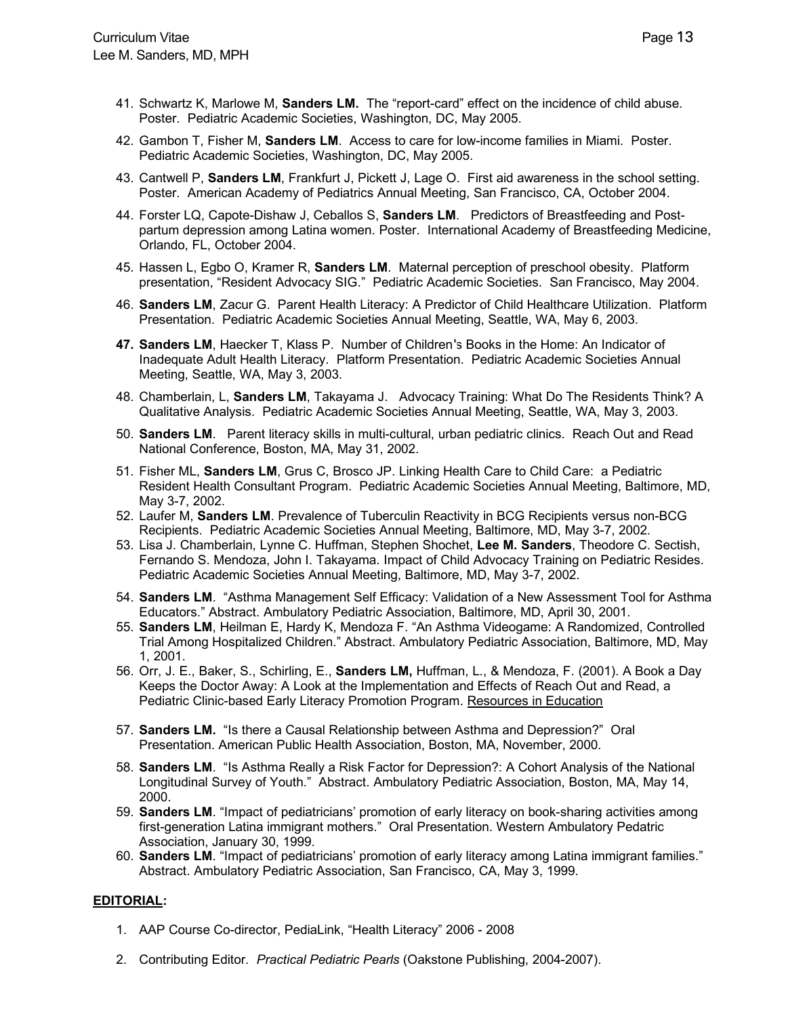- 41. Schwartz K, Marlowe M, **Sanders LM.** The "report-card" effect on the incidence of child abuse. Poster. Pediatric Academic Societies, Washington, DC, May 2005.
- 42. Gambon T, Fisher M, **Sanders LM**. Access to care for low-income families in Miami. Poster. Pediatric Academic Societies, Washington, DC, May 2005.
- 43. Cantwell P, **Sanders LM**, Frankfurt J, Pickett J, Lage O. First aid awareness in the school setting. Poster. American Academy of Pediatrics Annual Meeting, San Francisco, CA, October 2004.
- 44. Forster LQ, Capote-Dishaw J, Ceballos S, **Sanders LM**. Predictors of Breastfeeding and Postpartum depression among Latina women. Poster. International Academy of Breastfeeding Medicine, Orlando, FL, October 2004.
- 45. Hassen L, Egbo O, Kramer R, **Sanders LM**. Maternal perception of preschool obesity. Platform presentation, "Resident Advocacy SIG." Pediatric Academic Societies. San Francisco, May 2004.
- 46. **Sanders LM**, Zacur G. Parent Health Literacy: A Predictor of Child Healthcare Utilization. Platform Presentation. Pediatric Academic Societies Annual Meeting, Seattle, WA, May 6, 2003.
- 47. Sanders LM, Haecker T, Klass P. Number of Children's Books in the Home: An Indicator of Inadequate Adult Health Literacy. Platform Presentation.Pediatric Academic Societies Annual Meeting, Seattle, WA, May 3, 2003.
- 48. Chamberlain, L, **Sanders LM**, Takayama J. Advocacy Training: What Do The Residents Think? A Qualitative Analysis. Pediatric Academic Societies Annual Meeting, Seattle, WA, May 3, 2003.
- 50. **Sanders LM**. Parent literacy skills in multi-cultural, urban pediatric clinics. Reach Out and Read National Conference, Boston, MA, May 31, 2002.
- 51. Fisher ML, **Sanders LM**, Grus C, Brosco JP. Linking Health Care to Child Care: a Pediatric Resident Health Consultant Program. Pediatric Academic Societies Annual Meeting, Baltimore, MD, May 3-7, 2002.
- 52. Laufer M, **Sanders LM**. Prevalence of Tuberculin Reactivity in BCG Recipients versus non-BCG Recipients. Pediatric Academic Societies Annual Meeting, Baltimore, MD, May 3-7, 2002.
- 53. Lisa J. Chamberlain, Lynne C. Huffman, Stephen Shochet, **Lee M. Sanders**, Theodore C. Sectish, Fernando S. Mendoza, John I. Takayama. Impact of Child Advocacy Training on Pediatric Resides. Pediatric Academic Societies Annual Meeting, Baltimore, MD, May 3-7, 2002.
- 54. **Sanders LM**. "Asthma Management Self Efficacy: Validation of a New Assessment Tool for Asthma Educators." Abstract. Ambulatory Pediatric Association, Baltimore, MD, April 30, 2001.
- 55. **Sanders LM**, Heilman E, Hardy K, Mendoza F. "An Asthma Videogame: A Randomized, Controlled Trial Among Hospitalized Children." Abstract. Ambulatory Pediatric Association, Baltimore, MD, May 1, 2001.
- 56. Orr, J. E., Baker, S., Schirling, E., **Sanders LM,** Huffman, L., & Mendoza, F. (2001). A Book a Day Keeps the Doctor Away: A Look at the Implementation and Effects of Reach Out and Read, a Pediatric Clinic-based Early Literacy Promotion Program. Resources in Education
- 57. **Sanders LM.** "Is there a Causal Relationship between Asthma and Depression?" Oral Presentation. American Public Health Association, Boston, MA, November, 2000.
- 58. **Sanders LM**. "Is Asthma Really a Risk Factor for Depression?: A Cohort Analysis of the National Longitudinal Survey of Youth." Abstract. Ambulatory Pediatric Association, Boston, MA, May 14, 2000.
- 59. **Sanders LM**. "Impact of pediatricians' promotion of early literacy on book-sharing activities among first-generation Latina immigrant mothers." Oral Presentation. Western Ambulatory Pedatric Association, January 30, 1999.
- 60. **Sanders LM**. "Impact of pediatricians' promotion of early literacy among Latina immigrant families." Abstract. Ambulatory Pediatric Association, San Francisco, CA, May 3, 1999.

## **EDITORIAL:**

- 1. AAP Course Co-director, PediaLink, "Health Literacy" 2006 2008
- 2. Contributing Editor. *Practical Pediatric Pearls* (Oakstone Publishing, 2004-2007).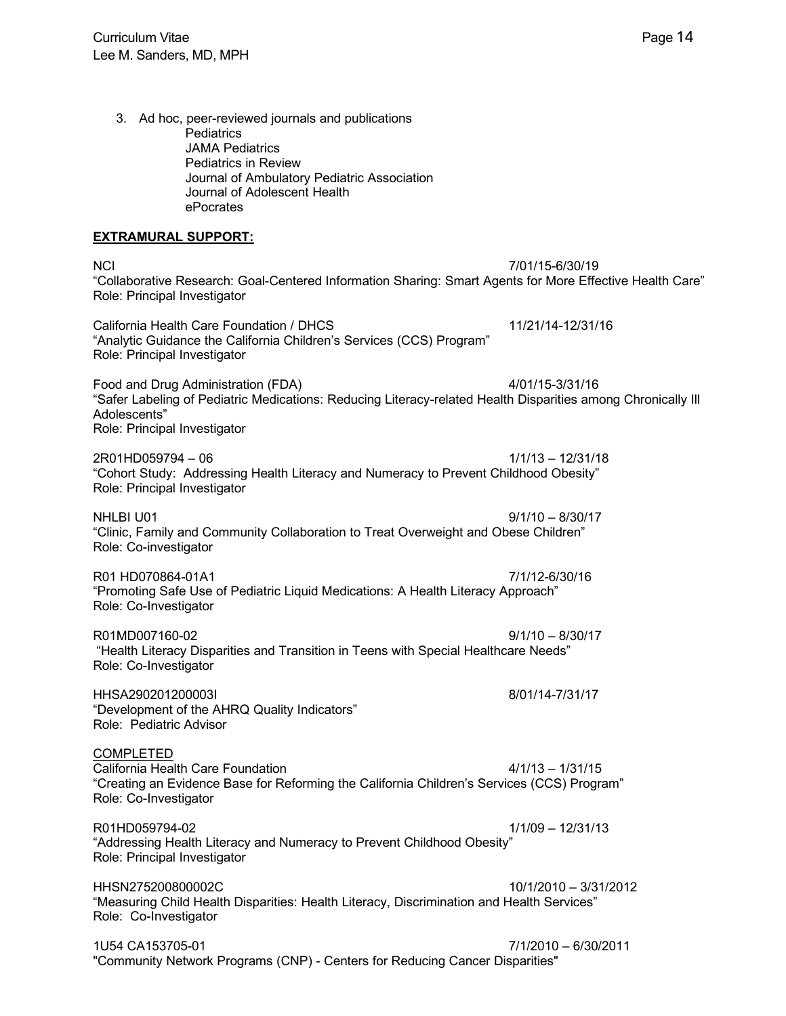3. Ad hoc, peer-reviewed journals and publications **Pediatrics** JAMA Pediatrics Pediatrics in Review Journal of Ambulatory Pediatric Association Journal of Adolescent Health ePocrates

## **EXTRAMURAL SUPPORT:**

NCI 7/01/15-6/30/19 "Collaborative Research: Goal-Centered Information Sharing: Smart Agents for More Effective Health Care" Role: Principal Investigator

California Health Care Foundation / DHCS 11/21/14-12/31/16 "Analytic Guidance the California Children's Services (CCS) Program" Role: Principal Investigator

Food and Drug Administration (FDA) 4/01/15-3/31/16 "Safer Labeling of Pediatric Medications: Reducing Literacy-related Health Disparities among Chronically Ill Adolescents" Role: Principal Investigator

2R01HD059794 – 06 1/1/13 – 12/31/18 "Cohort Study: Addressing Health Literacy and Numeracy to Prevent Childhood Obesity" Role: Principal Investigator

NHLBI U01 9/1/10 – 8/30/17 "Clinic, Family and Community Collaboration to Treat Overweight and Obese Children" Role: Co-investigator

R01 HD070864-01A1 7/1/12-6/30/16 "Promoting Safe Use of Pediatric Liquid Medications: A Health Literacy Approach" Role: Co-Investigator

R01MD007160-02 9/1/10 – 8/30/17 "Health Literacy Disparities and Transition in Teens with Special Healthcare Needs" Role: Co-Investigator

HHSA290201200003I 8/01/14-7/31/17 "Development of the AHRQ Quality Indicators" Role: Pediatric Advisor

COMPLETED California Health Care Foundation **4/1/13** – 1/31/15 "Creating an Evidence Base for Reforming the California Children's Services (CCS) Program" Role: Co-Investigator

R01HD059794-02 1/1/09 – 12/31/13 "Addressing Health Literacy and Numeracy to Prevent Childhood Obesity" Role: Principal Investigator

HHSN275200800002C 10/1/2010 – 3/31/2012 "Measuring Child Health Disparities: Health Literacy, Discrimination and Health Services" Role: Co-Investigator

1U54 CA153705-01 7/1/2010 – 6/30/2011 "Community Network Programs (CNP) - Centers for Reducing Cancer Disparities"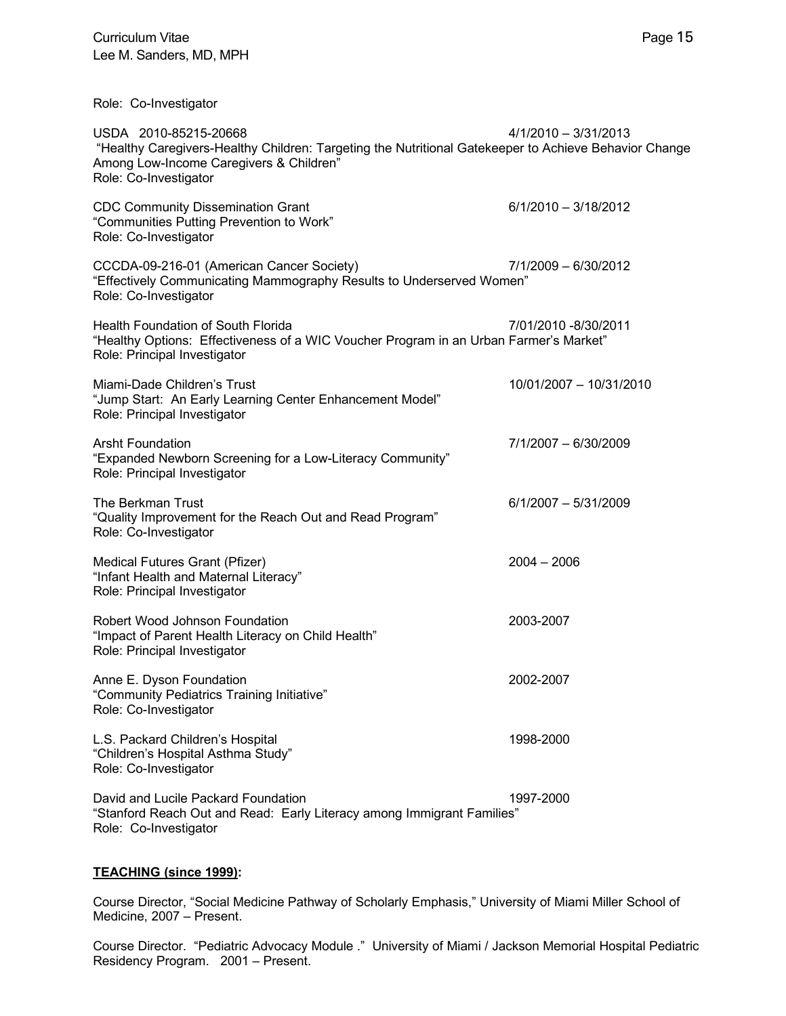| USDA 2010-85215-20668<br>"Healthy Caregivers-Healthy Children: Targeting the Nutritional Gatekeeper to Achieve Behavior Change<br>Among Low-Income Caregivers & Children"<br>Role: Co-Investigator | 4/1/2010 - 3/31/2013    |
|----------------------------------------------------------------------------------------------------------------------------------------------------------------------------------------------------|-------------------------|
| <b>CDC Community Dissemination Grant</b><br>"Communities Putting Prevention to Work"<br>Role: Co-Investigator                                                                                      | $6/1/2010 - 3/18/2012$  |
| CCCDA-09-216-01 (American Cancer Society)<br>"Effectively Communicating Mammography Results to Underserved Women"<br>Role: Co-Investigator                                                         | 7/1/2009 - 6/30/2012    |
| <b>Health Foundation of South Florida</b><br>"Healthy Options: Effectiveness of a WIC Voucher Program in an Urban Farmer's Market"<br>Role: Principal Investigator                                 | 7/01/2010 -8/30/2011    |
| Miami-Dade Children's Trust<br>"Jump Start: An Early Learning Center Enhancement Model"<br>Role: Principal Investigator                                                                            | 10/01/2007 - 10/31/2010 |
| <b>Arsht Foundation</b><br>"Expanded Newborn Screening for a Low-Literacy Community"<br>Role: Principal Investigator                                                                               | 7/1/2007 - 6/30/2009    |
| The Berkman Trust<br>"Quality Improvement for the Reach Out and Read Program"<br>Role: Co-Investigator                                                                                             | $6/1/2007 - 5/31/2009$  |
| Medical Futures Grant (Pfizer)<br>"Infant Health and Maternal Literacy"<br>Role: Principal Investigator                                                                                            | $2004 - 2006$           |
| Robert Wood Johnson Foundation<br>"Impact of Parent Health Literacy on Child Health"<br>Role: Principal Investigator                                                                               | 2003-2007               |
| Anne E. Dyson Foundation<br>"Community Pediatrics Training Initiative"<br>Role: Co-Investigator                                                                                                    | 2002-2007               |
| L.S. Packard Children's Hospital<br>"Children's Hospital Asthma Study"<br>Role: Co-Investigator                                                                                                    | 1998-2000               |
| David and Lucile Packard Foundation<br>"Stanford Reach Out and Read: Early Literacy among Immigrant Families"<br>Role: Co-Investigator                                                             | 1997-2000               |

## **TEACHING (since 1999):**

Course Director, "Social Medicine Pathway of Scholarly Emphasis," University of Miami Miller School of Medicine, 2007 – Present.

Course Director. "Pediatric Advocacy Module ." University of Miami / Jackson Memorial Hospital Pediatric Residency Program. 2001 – Present.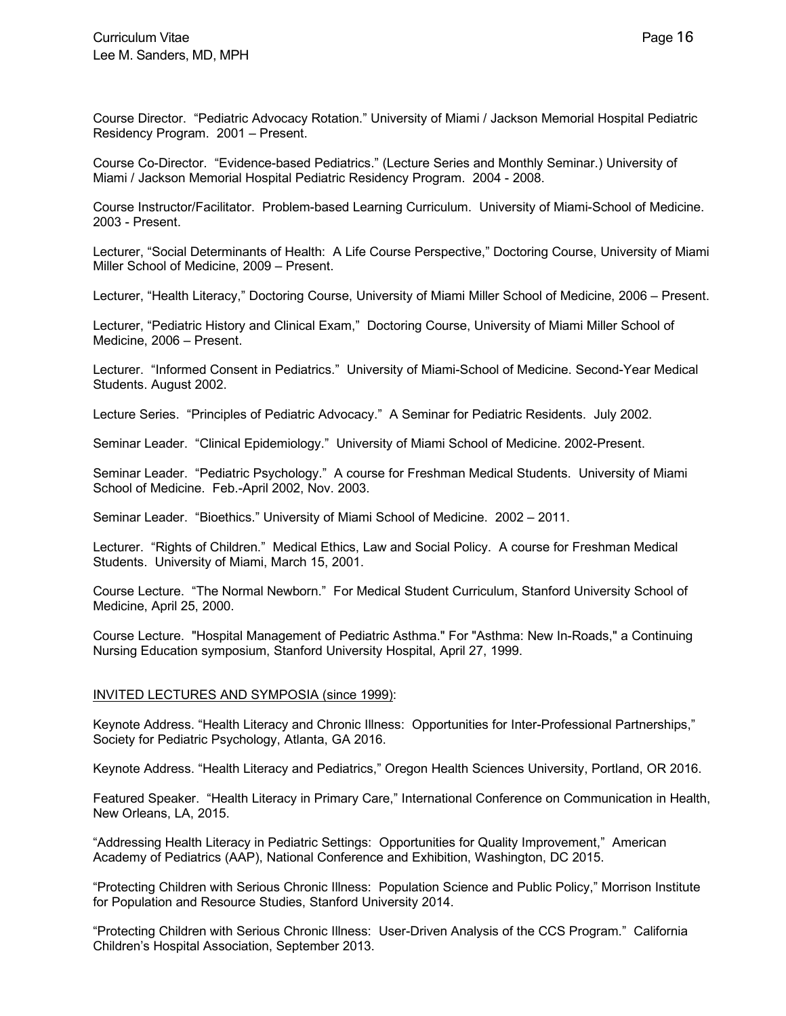Course Director. "Pediatric Advocacy Rotation." University of Miami / Jackson Memorial Hospital Pediatric Residency Program. 2001 – Present.

Course Co-Director. "Evidence-based Pediatrics." (Lecture Series and Monthly Seminar.) University of Miami / Jackson Memorial Hospital Pediatric Residency Program. 2004 - 2008.

Course Instructor/Facilitator. Problem-based Learning Curriculum. University of Miami-School of Medicine. 2003 - Present.

Lecturer, "Social Determinants of Health: A Life Course Perspective," Doctoring Course, University of Miami Miller School of Medicine, 2009 – Present.

Lecturer, "Health Literacy," Doctoring Course, University of Miami Miller School of Medicine, 2006 – Present.

Lecturer, "Pediatric History and Clinical Exam," Doctoring Course, University of Miami Miller School of Medicine, 2006 – Present.

Lecturer. "Informed Consent in Pediatrics." University of Miami-School of Medicine. Second-Year Medical Students. August 2002.

Lecture Series. "Principles of Pediatric Advocacy." A Seminar for Pediatric Residents. July 2002.

Seminar Leader. "Clinical Epidemiology." University of Miami School of Medicine. 2002-Present.

Seminar Leader. "Pediatric Psychology." A course for Freshman Medical Students. University of Miami School of Medicine. Feb.-April 2002, Nov. 2003.

Seminar Leader. "Bioethics." University of Miami School of Medicine. 2002 – 2011.

Lecturer. "Rights of Children." Medical Ethics, Law and Social Policy. A course for Freshman Medical Students. University of Miami, March 15, 2001.

Course Lecture. "The Normal Newborn." For Medical Student Curriculum, Stanford University School of Medicine, April 25, 2000.

Course Lecture. "Hospital Management of Pediatric Asthma." For "Asthma: New In-Roads," a Continuing Nursing Education symposium, Stanford University Hospital, April 27, 1999.

## INVITED LECTURES AND SYMPOSIA (since 1999):

Keynote Address. "Health Literacy and Chronic Illness: Opportunities for Inter-Professional Partnerships," Society for Pediatric Psychology, Atlanta, GA 2016.

Keynote Address. "Health Literacy and Pediatrics," Oregon Health Sciences University, Portland, OR 2016.

Featured Speaker. "Health Literacy in Primary Care," International Conference on Communication in Health, New Orleans, LA, 2015.

"Addressing Health Literacy in Pediatric Settings: Opportunities for Quality Improvement," American Academy of Pediatrics (AAP), National Conference and Exhibition, Washington, DC 2015.

"Protecting Children with Serious Chronic Illness: Population Science and Public Policy," Morrison Institute for Population and Resource Studies, Stanford University 2014.

"Protecting Children with Serious Chronic Illness: User-Driven Analysis of the CCS Program." California Children's Hospital Association, September 2013.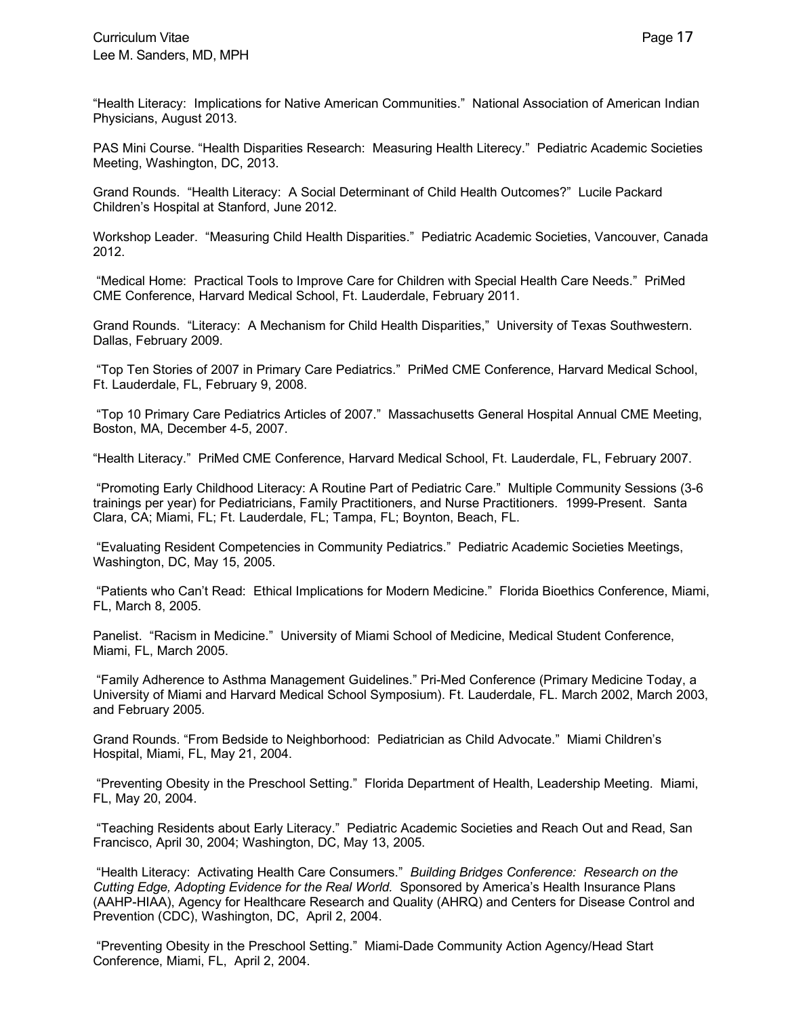"Health Literacy: Implications for Native American Communities." National Association of American Indian Physicians, August 2013.

PAS Mini Course. "Health Disparities Research: Measuring Health Literecy." Pediatric Academic Societies Meeting, Washington, DC, 2013.

Grand Rounds. "Health Literacy: A Social Determinant of Child Health Outcomes?" Lucile Packard Children's Hospital at Stanford, June 2012.

Workshop Leader. "Measuring Child Health Disparities." Pediatric Academic Societies, Vancouver, Canada 2012.

"Medical Home: Practical Tools to Improve Care for Children with Special Health Care Needs." PriMed CME Conference, Harvard Medical School, Ft. Lauderdale, February 2011.

Grand Rounds. "Literacy: A Mechanism for Child Health Disparities," University of Texas Southwestern. Dallas, February 2009.

"Top Ten Stories of 2007 in Primary Care Pediatrics." PriMed CME Conference, Harvard Medical School, Ft. Lauderdale, FL, February 9, 2008.

"Top 10 Primary Care Pediatrics Articles of 2007." Massachusetts General Hospital Annual CME Meeting, Boston, MA, December 4-5, 2007.

"Health Literacy." PriMed CME Conference, Harvard Medical School, Ft. Lauderdale, FL, February 2007.

"Promoting Early Childhood Literacy: A Routine Part of Pediatric Care." Multiple Community Sessions (3-6 trainings per year) for Pediatricians, Family Practitioners, and Nurse Practitioners. 1999-Present. Santa Clara, CA; Miami, FL; Ft. Lauderdale, FL; Tampa, FL; Boynton, Beach, FL.

"Evaluating Resident Competencies in Community Pediatrics." Pediatric Academic Societies Meetings, Washington, DC, May 15, 2005.

"Patients who Can't Read: Ethical Implications for Modern Medicine." Florida Bioethics Conference, Miami, FL, March 8, 2005.

Panelist. "Racism in Medicine." University of Miami School of Medicine, Medical Student Conference, Miami, FL, March 2005.

"Family Adherence to Asthma Management Guidelines." Pri-Med Conference (Primary Medicine Today, a University of Miami and Harvard Medical School Symposium). Ft. Lauderdale, FL. March 2002, March 2003, and February 2005.

Grand Rounds. "From Bedside to Neighborhood: Pediatrician as Child Advocate." Miami Children's Hospital, Miami, FL, May 21, 2004.

"Preventing Obesity in the Preschool Setting." Florida Department of Health, Leadership Meeting. Miami, FL, May 20, 2004.

"Teaching Residents about Early Literacy." Pediatric Academic Societies and Reach Out and Read, San Francisco, April 30, 2004; Washington, DC, May 13, 2005.

"Health Literacy: Activating Health Care Consumers." *Building Bridges Conference: Research on the Cutting Edge, Adopting Evidence for the Real World.* Sponsored by America's Health Insurance Plans (AAHP-HIAA), Agency for Healthcare Research and Quality (AHRQ) and Centers for Disease Control and Prevention (CDC), Washington, DC, April 2, 2004.

"Preventing Obesity in the Preschool Setting." Miami-Dade Community Action Agency/Head Start Conference, Miami, FL, April 2, 2004.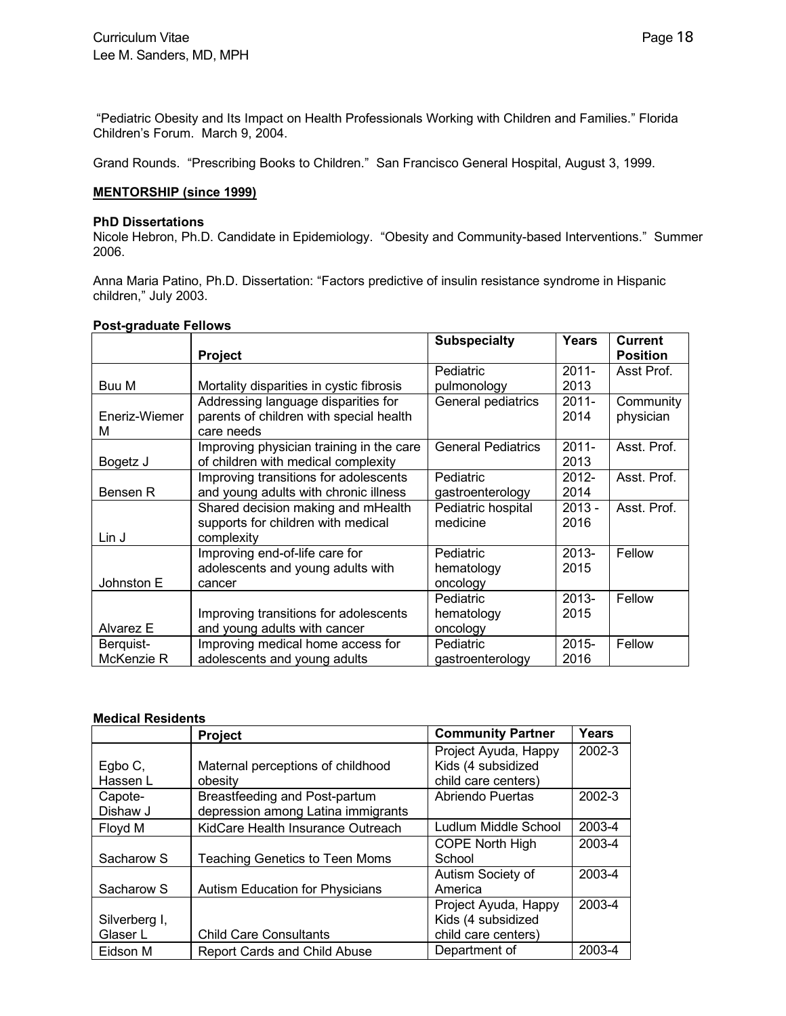"Pediatric Obesity and Its Impact on Health Professionals Working with Children and Families." Florida Children's Forum. March 9, 2004.

Grand Rounds. "Prescribing Books to Children." San Francisco General Hospital, August 3, 1999.

## **MENTORSHIP (since 1999)**

#### **PhD Dissertations**

Nicole Hebron, Ph.D. Candidate in Epidemiology. "Obesity and Community-based Interventions." Summer 2006.

Anna Maria Patino, Ph.D. Dissertation: "Factors predictive of insulin resistance syndrome in Hispanic children," July 2003.

| <b>Post-graduate Fellows</b> |  |
|------------------------------|--|
|                              |  |

|               |                                          | <b>Subspecialty</b>       | <b>Years</b> | <b>Current</b>  |
|---------------|------------------------------------------|---------------------------|--------------|-----------------|
|               | <b>Project</b>                           |                           |              | <b>Position</b> |
|               |                                          | Pediatric                 | $2011 -$     | Asst Prof.      |
| Buu M         | Mortality disparities in cystic fibrosis | pulmonology               | 2013         |                 |
|               | Addressing language disparities for      | General pediatrics        | $2011 -$     | Community       |
| Eneriz-Wiemer | parents of children with special health  |                           | 2014         | physician       |
| м             | care needs                               |                           |              |                 |
|               | Improving physician training in the care | <b>General Pediatrics</b> | $2011 -$     | Asst. Prof.     |
| Bogetz J      | of children with medical complexity      |                           | 2013         |                 |
|               | Improving transitions for adolescents    | Pediatric                 | $2012 -$     | Asst. Prof.     |
| Bensen R      | and young adults with chronic illness    | gastroenterology          | 2014         |                 |
|               | Shared decision making and mHealth       | Pediatric hospital        | $2013 -$     | Asst. Prof.     |
|               | supports for children with medical       | medicine                  | 2016         |                 |
| Lin J         | complexity                               |                           |              |                 |
|               | Improving end-of-life care for           | Pediatric                 | $2013 -$     | Fellow          |
|               | adolescents and young adults with        | hematology                | 2015         |                 |
| Johnston E    | cancer                                   | oncology                  |              |                 |
|               |                                          | Pediatric                 | $2013 -$     | Fellow          |
|               | Improving transitions for adolescents    | hematology                | 2015         |                 |
| Alvarez E     | and young adults with cancer             | oncology                  |              |                 |
| Berquist-     | Improving medical home access for        | Pediatric                 | $2015 -$     | Fellow          |
| McKenzie R    | adolescents and young adults             | gastroenterology          | 2016         |                 |

## **Medical Residents**

|               | <b>Project</b>                         | <b>Community Partner</b> | Years  |
|---------------|----------------------------------------|--------------------------|--------|
|               |                                        | Project Ayuda, Happy     | 2002-3 |
| Egbo C,       | Maternal perceptions of childhood      | Kids (4 subsidized       |        |
| Hassen L      | obesity                                | child care centers)      |        |
| Capote-       | Breastfeeding and Post-partum          | Abriendo Puertas         | 2002-3 |
| Dishaw J      | depression among Latina immigrants     |                          |        |
| Floyd M       | KidCare Health Insurance Outreach      | Ludlum Middle School     | 2003-4 |
|               |                                        | <b>COPE North High</b>   | 2003-4 |
| Sacharow S    | <b>Teaching Genetics to Teen Moms</b>  | School                   |        |
|               |                                        | Autism Society of        | 2003-4 |
| Sacharow S    | <b>Autism Education for Physicians</b> | America                  |        |
|               |                                        | Project Ayuda, Happy     | 2003-4 |
| Silverberg I, |                                        | Kids (4 subsidized       |        |
| Glaser L      | <b>Child Care Consultants</b>          | child care centers)      |        |
| Eidson M      | <b>Report Cards and Child Abuse</b>    | Department of            | 2003-4 |